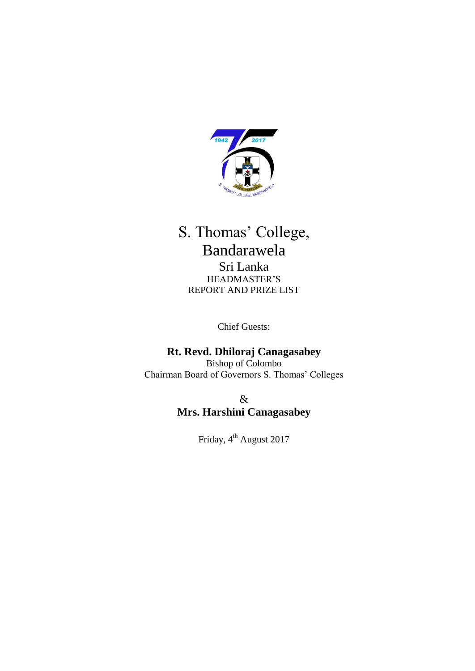

# S. Thomas' College, Bandarawela Sri Lanka HEADMASTER'S REPORT AND PRIZE LIST

Chief Guests:

# **Rt. Revd. Dhiloraj Canagasabey**

Bishop of Colombo Chairman Board of Governors S. Thomas' Colleges

> & **Mrs. Harshini Canagasabey**

> > Friday, 4<sup>th</sup> August 2017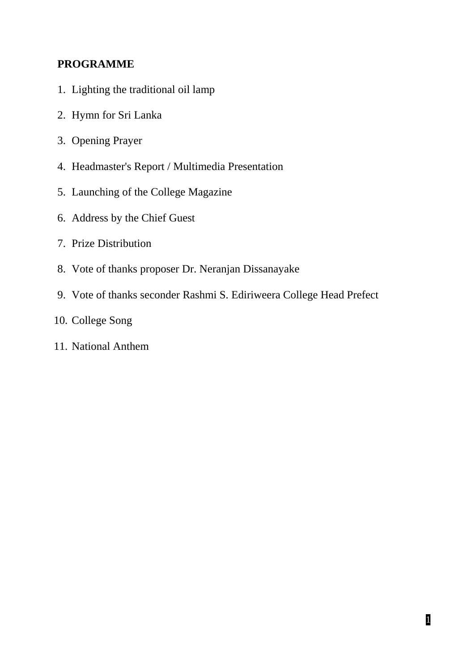# **PROGRAMME**

- 1. Lighting the traditional oil lamp
- 2. Hymn for Sri Lanka
- 3. Opening Prayer
- 4. Headmaster's Report / Multimedia Presentation
- 5. Launching of the College Magazine
- 6. Address by the Chief Guest
- 7. Prize Distribution
- 8. Vote of thanks proposer Dr. Neranjan Dissanayake
- 9. Vote of thanks seconder Rashmi S. Ediriweera College Head Prefect
- 10. College Song
- 11. National Anthem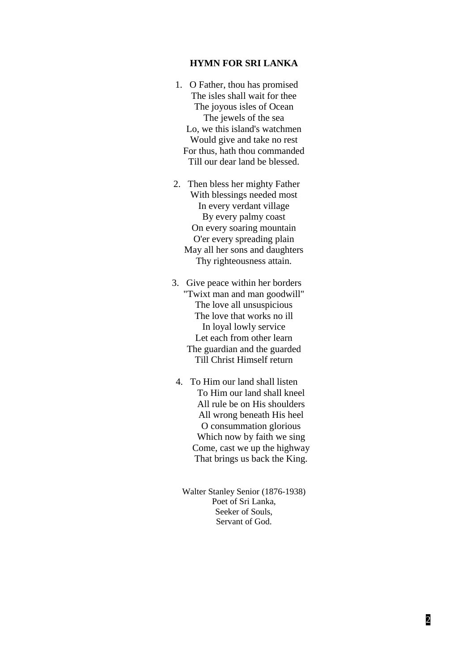#### **HYMN FOR SRI LANKA**

- 1. O Father, thou has promised The isles shall wait for thee The joyous isles of Ocean The jewels of the sea Lo, we this island's watchmen Would give and take no rest For thus, hath thou commanded Till our dear land be blessed.
- 2. Then bless her mighty Father With blessings needed most In every verdant village By every palmy coast On every soaring mountain O'er every spreading plain May all her sons and daughters Thy righteousness attain.
- 3. Give peace within her borders "Twixt man and man goodwill" The love all unsuspicious The love that works no ill In loyal lowly service Let each from other learn The guardian and the guarded Till Christ Himself return
- 4. To Him our land shall listen To Him our land shall kneel All rule be on His shoulders All wrong beneath His heel O consummation glorious Which now by faith we sing Come, cast we up the highway That brings us back the King.

Walter Stanley Senior (1876-1938) Poet of Sri Lanka, Seeker of Souls, Servant of God.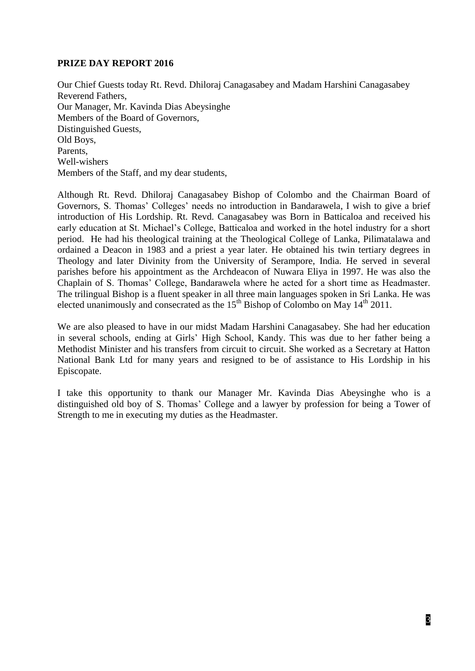# **PRIZE DAY REPORT 2016**

Our Chief Guests today Rt. Revd. Dhiloraj Canagasabey and Madam Harshini Canagasabey Reverend Fathers, Our Manager, Mr. Kavinda Dias Abeysinghe Members of the Board of Governors, Distinguished Guests, Old Boys, Parents, Well-wishers Members of the Staff, and my dear students,

Although Rt. Revd. Dhiloraj Canagasabey Bishop of Colombo and the Chairman Board of Governors, S. Thomas' Colleges' needs no introduction in Bandarawela, I wish to give a brief introduction of His Lordship. Rt. Revd. Canagasabey was Born in Batticaloa and received his early education at St. Michael's College, Batticaloa and worked in the hotel industry for a short period. He had his theological training at the Theological College of Lanka, Pilimatalawa and ordained a Deacon in 1983 and a priest a year later. He obtained his twin tertiary degrees in Theology and later Divinity from the University of Serampore, India. He served in several parishes before his appointment as the Archdeacon of Nuwara Eliya in 1997. He was also the Chaplain of S. Thomas' College, Bandarawela where he acted for a short time as Headmaster. The trilingual Bishop is a fluent speaker in all three main languages spoken in Sri Lanka. He was elected unanimously and consecrated as the  $15<sup>th</sup>$  Bishop of Colombo on May  $14<sup>th</sup>$  2011.

We are also pleased to have in our midst Madam Harshini Canagasabey. She had her education in several schools, ending at Girls' High School, Kandy. This was due to her father being a Methodist Minister and his transfers from circuit to circuit. She worked as a Secretary at Hatton National Bank Ltd for many years and resigned to be of assistance to His Lordship in his Episcopate.

I take this opportunity to thank our Manager Mr. Kavinda Dias Abeysinghe who is a distinguished old boy of S. Thomas' College and a lawyer by profession for being a Tower of Strength to me in executing my duties as the Headmaster.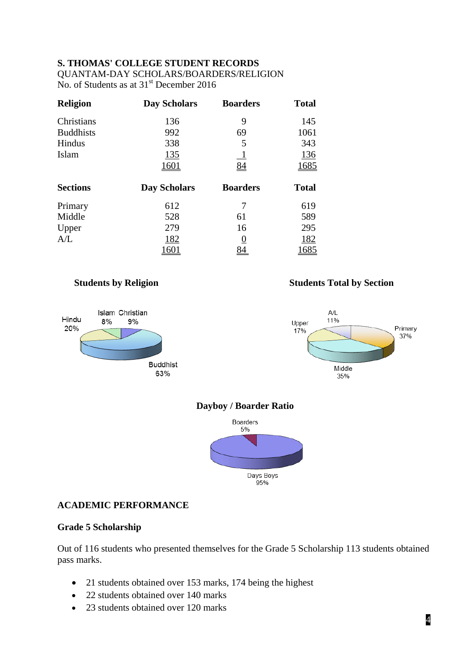# **S. THOMAS' COLLEGE STUDENT RECORDS**

QUANTAM-DAY SCHOLARS/BOARDERS/RELIGION No. of Students as at  $31<sup>st</sup>$  December 2016

| Religion         | <b>Day Scholars</b> | <b>Boarders</b> | <b>Total</b> |
|------------------|---------------------|-----------------|--------------|
| Christians       | 136                 | 9               | 145          |
| <b>Buddhists</b> | 992                 | 69              | 1061         |
| Hindus           | 338                 | 5               | 343          |
| Islam            | <u>135</u>          | $\perp$         | <u>136</u>   |
|                  | <u>1601</u>         | 84              | 1685         |
| <b>Sections</b>  | <b>Day Scholars</b> | <b>Boarders</b> | <b>Total</b> |
| Primary          | 612                 | 7               | 619          |
| Middle           | 528                 | 61              | 589          |
| Upper            | 279                 | 16              | 295          |
| A/L              | <u>182</u>          | <u>()</u>       | <u>182</u>   |
|                  | 1601                | 84              | 1685         |







# **Dayboy / Boarder Ratio**



# **ACADEMIC PERFORMANCE**

# **Grade 5 Scholarship**

Out of 116 students who presented themselves for the Grade 5 Scholarship 113 students obtained pass marks.

- 21 students obtained over 153 marks, 174 being the highest
- 22 students obtained over 140 marks
- 23 students obtained over 120 marks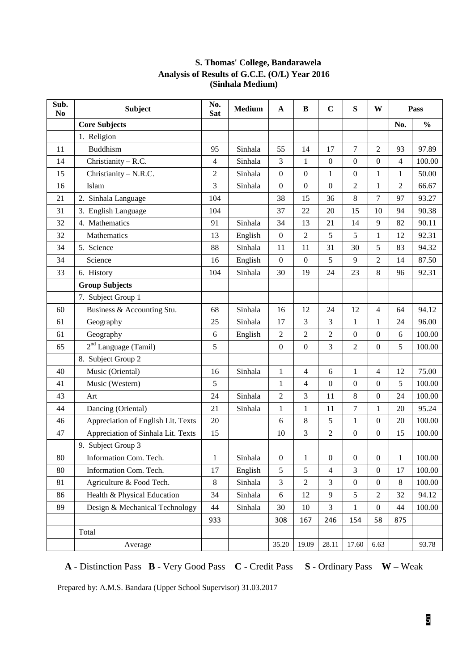| $\overline{\textbf{S}}$ ub.<br>N <sub>0</sub> | <b>Subject</b>                     | No.<br><b>Sat</b> | <b>Medium</b> | $\mathbf{A}$     | B                | $\mathbf C$      | ${\bf S}$        | W                | Pass           |               |
|-----------------------------------------------|------------------------------------|-------------------|---------------|------------------|------------------|------------------|------------------|------------------|----------------|---------------|
|                                               | <b>Core Subjects</b>               |                   |               |                  |                  |                  |                  |                  | No.            | $\frac{0}{0}$ |
|                                               | 1. Religion                        |                   |               |                  |                  |                  |                  |                  |                |               |
| 11                                            | <b>Buddhism</b>                    | 95                | Sinhala       | 55               | 14               | 17               | 7                | $\overline{2}$   | 93             | 97.89         |
| 14                                            | Christianity - R.C.                | 4                 | Sinhala       | 3                | 1                | $\boldsymbol{0}$ | $\boldsymbol{0}$ | $\boldsymbol{0}$ | 4              | 100.00        |
| 15                                            | Christianity - N.R.C.              | 2                 | Sinhala       | $\boldsymbol{0}$ | $\boldsymbol{0}$ | $\mathbf{1}$     | $\boldsymbol{0}$ | $\mathbf{1}$     | $\mathbf{1}$   | 50.00         |
| 16                                            | Islam                              | 3                 | Sinhala       | $\boldsymbol{0}$ | $\boldsymbol{0}$ | $\mathbf{0}$     | $\overline{c}$   | $\mathbf{1}$     | $\overline{2}$ | 66.67         |
| 21                                            | 2. Sinhala Language                | 104               |               | 38               | 15               | 36               | 8                | $\overline{7}$   | 97             | 93.27         |
| 31                                            | 3. English Language                | 104               |               | 37               | 22               | 20               | 15               | 10               | 94             | 90.38         |
| 32                                            | 4. Mathematics                     | 91                | Sinhala       | 34               | 13               | 21               | 14               | 9                | 82             | 90.11         |
| 32                                            | Mathematics                        | 13                | English       | $\boldsymbol{0}$ | $\overline{c}$   | 5                | 5                | $\mathbf{1}$     | 12             | 92.31         |
| 34                                            | 5. Science                         | 88                | Sinhala       | 11               | 11               | 31               | 30               | 5                | 83             | 94.32         |
| 34                                            | Science                            | 16                | English       | $\boldsymbol{0}$ | $\boldsymbol{0}$ | 5                | 9                | $\overline{2}$   | 14             | 87.50         |
| 33                                            | 6. History                         | 104               | Sinhala       | 30               | 19               | 24               | 23               | 8                | 96             | 92.31         |
|                                               | <b>Group Subjects</b>              |                   |               |                  |                  |                  |                  |                  |                |               |
|                                               | 7. Subject Group 1                 |                   |               |                  |                  |                  |                  |                  |                |               |
| 60                                            | Business & Accounting Stu.         | 68                | Sinhala       | 16               | 12               | 24               | 12               | 4                | 64             | 94.12         |
| 61                                            | Geography                          | 25                | Sinhala       | 17               | 3                | 3                | $\mathbf{1}$     | $\mathbf{1}$     | 24             | 96.00         |
| 61                                            | Geography                          | 6                 | English       | $\overline{c}$   | $\overline{2}$   | $\overline{2}$   | $\boldsymbol{0}$ | $\boldsymbol{0}$ | 6              | 100.00        |
| 65                                            | 2 <sup>nd</sup> Language (Tamil)   | 5                 |               | 0                | $\boldsymbol{0}$ | 3                | 2                | $\boldsymbol{0}$ | 5              | 100.00        |
|                                               | 8. Subject Group 2                 |                   |               |                  |                  |                  |                  |                  |                |               |
| 40                                            | Music (Oriental)                   | 16                | Sinhala       | $\mathbf{1}$     | $\overline{4}$   | 6                | $\mathbf{1}$     | 4                | 12             | 75.00         |
| 41                                            | Music (Western)                    | 5                 |               | $\mathbf{1}$     | $\overline{4}$   | $\mathbf{0}$     | $\boldsymbol{0}$ | $\mathbf{0}$     | 5              | 100.00        |
| 43                                            | Art                                | 24                | Sinhala       | $\overline{c}$   | 3                | 11               | 8                | $\boldsymbol{0}$ | 24             | 100.00        |
| 44                                            | Dancing (Oriental)                 | 21                | Sinhala       | $\mathbf{1}$     | 1                | 11               | $\overline{7}$   | $\mathbf{1}$     | 20             | 95.24         |
| 46                                            | Appreciation of English Lit. Texts | 20                |               | 6                | 8                | 5                | $\mathbf{1}$     | $\boldsymbol{0}$ | 20             | 100.00        |
| 47                                            | Appreciation of Sinhala Lit. Texts | 15                |               | 10               | 3                | $\overline{2}$   | $\boldsymbol{0}$ | $\boldsymbol{0}$ | 15             | 100.00        |
|                                               | 9. Subject Group 3                 |                   |               |                  |                  |                  |                  |                  |                |               |
| 80                                            | Information Com. Tech.             | $\mathbf{1}$      | Sinhala       | 0                | $\mathbf{1}$     | $\boldsymbol{0}$ | 0                | $\boldsymbol{0}$ | 1              | 100.00        |
| 80                                            | Information Com. Tech.             | 17                | English       | 5                | 5                | $\overline{4}$   | 3                | $\mathbf{0}$     | 17             | 100.00        |
| 81                                            | Agriculture & Food Tech.           | 8                 | Sinhala       | 3                | $\overline{2}$   | 3                | $\boldsymbol{0}$ | $\boldsymbol{0}$ | $\,8\,$        | 100.00        |
| 86                                            | Health & Physical Education        | 34                | Sinhala       | 6                | 12               | 9                | 5                | $\overline{c}$   | 32             | 94.12         |
| 89                                            | Design & Mechanical Technology     | 44                | Sinhala       | 30               | 10               | $\overline{3}$   | $\mathbf{1}$     | $\boldsymbol{0}$ | 44             | 100.00        |
|                                               |                                    | 933               |               | 308              | 167              | 246              | 154              | 58               | 875            |               |
|                                               | Total                              |                   |               |                  |                  |                  |                  |                  |                |               |
|                                               | Average                            |                   |               | 35.20            | 19.09            | 28.11            | 17.60            | 6.63             |                | 93.78         |

### **S. Thomas' College, Bandarawela Analysis of Results of G.C.E. (O/L) Year 2016 (Sinhala Medium)**

**A** - Distinction Pass **B** - Very Good Pass **C -** Credit Pass **S -** Ordinary Pass **W –** Weak

Prepared by: A.M.S. Bandara (Upper School Supervisor) 31.03.2017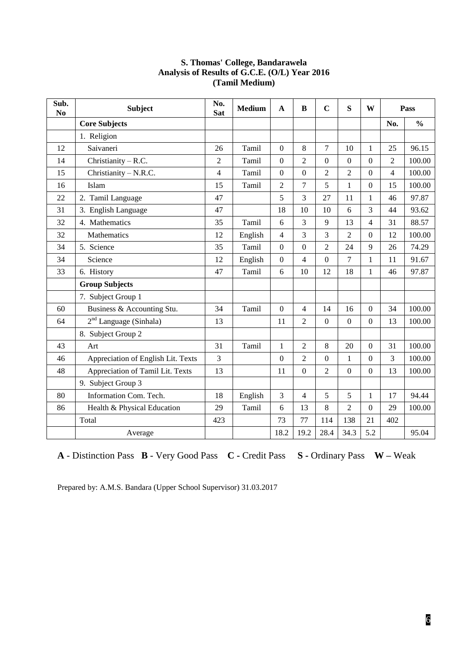| Sub.<br>N <sub>0</sub> | <b>Subject</b>                     | No.<br><b>Sat</b> | <b>Medium</b> | $\mathbf{A}$     | B                        | $\mathbf C$      | S                | W                | Pass           |               |
|------------------------|------------------------------------|-------------------|---------------|------------------|--------------------------|------------------|------------------|------------------|----------------|---------------|
|                        | <b>Core Subjects</b>               |                   |               |                  |                          |                  |                  |                  | No.            | $\frac{0}{0}$ |
|                        | 1. Religion                        |                   |               |                  |                          |                  |                  |                  |                |               |
| 12                     | Saivaneri                          | 26                | Tamil         | $\overline{0}$   | 8                        | $\overline{7}$   | 10               | $\mathbf{1}$     | 25             | 96.15         |
| 14                     | Christianity - R.C.                | $\overline{2}$    | Tamil         | $\overline{0}$   | $\overline{2}$           | $\boldsymbol{0}$ | $\boldsymbol{0}$ | $\boldsymbol{0}$ | $\overline{2}$ | 100.00        |
| 15                     | Christianity - N.R.C.              | 4                 | Tamil         | $\mathbf{0}$     | $\boldsymbol{0}$         | $\overline{2}$   | $\overline{2}$   | $\boldsymbol{0}$ | $\overline{4}$ | 100.00        |
| 16                     | Islam                              | 15                | Tamil         | $\overline{2}$   | 7                        | 5                | $\mathbf{1}$     | $\boldsymbol{0}$ | 15             | 100.00        |
| 22                     | 2. Tamil Language                  | 47                |               | 5                | 3                        | 27               | 11               | $\mathbf{1}$     | 46             | 97.87         |
| 31                     | 3. English Language                | 47                |               | 18               | 10                       | 10               | 6                | 3                | 44             | 93.62         |
| 32                     | 4. Mathematics                     | 35                | Tamil         | 6                | 3                        | 9                | 13               | 4                | 31             | 88.57         |
| 32                     | Mathematics                        | 12                | English       | $\overline{4}$   | 3                        | 3                | $\overline{c}$   | $\overline{0}$   | 12             | 100.00        |
| 34                     | 5. Science                         | 35                | Tamil         | $\overline{0}$   | $\theta$                 | $\overline{2}$   | 24               | 9                | 26             | 74.29         |
| 34                     | Science                            | 12                | English       | $\boldsymbol{0}$ | $\overline{\mathcal{L}}$ | $\boldsymbol{0}$ | 7                | $\mathbf{1}$     | 11             | 91.67         |
| 33                     | 6. History                         | 47                | Tamil         | 6                | 10                       | 12               | 18               | 1                | 46             | 97.87         |
|                        | <b>Group Subjects</b>              |                   |               |                  |                          |                  |                  |                  |                |               |
|                        | 7. Subject Group 1                 |                   |               |                  |                          |                  |                  |                  |                |               |
| 60                     | Business & Accounting Stu.         | 34                | Tamil         | $\overline{0}$   | 4                        | 14               | 16               | $\boldsymbol{0}$ | 34             | 100.00        |
| 64                     | $2nd$ Language (Sinhala)           | 13                |               | 11               | 2                        | $\boldsymbol{0}$ | $\boldsymbol{0}$ | $\boldsymbol{0}$ | 13             | 100.00        |
|                        | 8. Subject Group 2                 |                   |               |                  |                          |                  |                  |                  |                |               |
| 43                     | Art                                | 31                | Tamil         | $\mathbf{1}$     | $\overline{2}$           | 8                | 20               | $\boldsymbol{0}$ | 31             | 100.00        |
| 46                     | Appreciation of English Lit. Texts | 3                 |               | $\overline{0}$   | $\overline{2}$           | $\overline{0}$   | $\mathbf{1}$     | $\overline{0}$   | 3              | 100.00        |
| 48                     | Appreciation of Tamil Lit. Texts   | 13                |               | 11               | $\mathbf{0}$             | $\overline{2}$   | $\mathbf{0}$     | $\theta$         | 13             | 100.00        |
|                        | 9. Subject Group 3                 |                   |               |                  |                          |                  |                  |                  |                |               |
| 80                     | Information Com. Tech.             | 18                | English       | 3                | $\overline{\mathcal{L}}$ | 5                | 5                | $\mathbf{1}$     | 17             | 94.44         |
| 86                     | Health & Physical Education        | 29                | Tamil         | 6                | 13                       | 8                | $\overline{2}$   | $\boldsymbol{0}$ | 29             | 100.00        |
|                        | Total                              | 423               |               | 73               | 77                       | 114              | 138              | 21               | 402            |               |
|                        | Average                            |                   |               | 18.2             | 19.2                     | 28.4             | 34.3             | 5.2              |                | 95.04         |

#### **S. Thomas' College, Bandarawela Analysis of Results of G.C.E. (O/L) Year 2016 (Tamil Medium)**

**A** - Distinction Pass **B** - Very Good Pass **C -** Credit Pass **S -** Ordinary Pass **W –** Weak

Prepared by: A.M.S. Bandara (Upper School Supervisor) 31.03.2017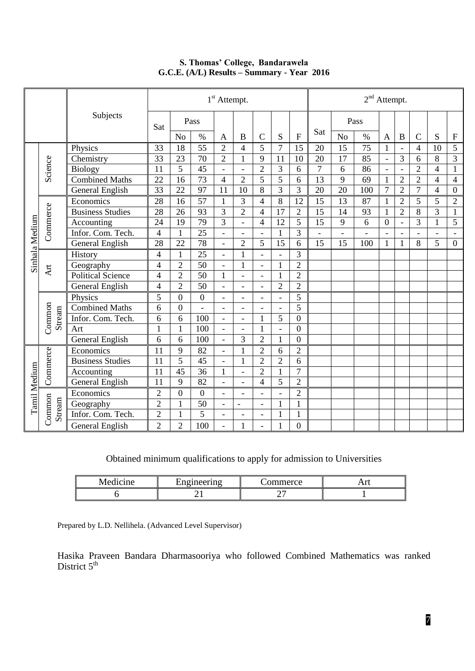|                |                  |                         | 1 <sup>st</sup> Attempt. |                  |                 | $2nd$ Attempt.           |                              |                |                          |                  |                 |                |                 |                |                          |                |                |                         |
|----------------|------------------|-------------------------|--------------------------|------------------|-----------------|--------------------------|------------------------------|----------------|--------------------------|------------------|-----------------|----------------|-----------------|----------------|--------------------------|----------------|----------------|-------------------------|
| Subjects       |                  | Sat                     |                          | Pass             |                 |                          |                              |                |                          |                  | Pass            |                |                 |                |                          |                |                |                         |
|                |                  |                         |                          | N <sub>o</sub>   | $\%$            | A                        | B                            | $\overline{C}$ | S                        | $\mathbf{F}$     | Sat             | N <sub>o</sub> | $\%$            | A              | $\bf{B}$                 | $\mathbf C$    | S              | ${\bf F}$               |
|                |                  | Physics                 | 33                       | 18               | $\overline{55}$ | $\overline{2}$           | $\overline{4}$               | 5              | $\overline{7}$           | 15               | 20              | 15             | 75              | 1              | $\overline{\phantom{a}}$ | $\overline{4}$ | 10             | 5                       |
|                |                  | Chemistry               | 33                       | $\overline{23}$  | 70              | $\overline{2}$           | $\mathbf{1}$                 | 9              | 11                       | 10               | 20              | 17             | 85              | $\overline{a}$ | 3                        | 6              | 8              | $\overline{3}$          |
|                | Science          | <b>Biology</b>          | 11                       | $\overline{5}$   | $\overline{45}$ | $\overline{a}$           | $\overline{a}$               | $\overline{2}$ | $\overline{3}$           | 6                | $\overline{7}$  | 6              | 86              | $\blacksquare$ | $\bar{a}$                | $\overline{2}$ | $\overline{4}$ | $\mathbf{1}$            |
|                |                  | <b>Combined Maths</b>   | 22                       | 16               | 73              | $\overline{4}$           | $\overline{2}$               | 5              | $\overline{5}$           | 6                | 13              | 9              | $\overline{69}$ | 1              | $\overline{2}$           | $\overline{2}$ | $\overline{4}$ | $\overline{\mathbf{4}}$ |
|                |                  | General English         | $\overline{33}$          | 22               | $\overline{97}$ | 11                       | 10                           | 8              | $\overline{3}$           | 3                | 20              | 20             | 100             | $\overline{7}$ | $\overline{2}$           | $\overline{7}$ | $\overline{4}$ | $\boldsymbol{0}$        |
|                |                  | Economics               | 28                       | 16               | $\overline{57}$ | $\mathbf{1}$             | 3                            | $\overline{4}$ | $8\,$                    | 12               | 15              | 13             | 87              | $\mathbf{1}$   | $\overline{2}$           | 5              | 5              | $\overline{2}$          |
|                | Commerce         | <b>Business Studies</b> | 28                       | $\overline{26}$  | $\overline{93}$ | $\overline{3}$           | $\overline{2}$               | $\overline{4}$ | $\overline{17}$          | $\overline{2}$   | $\overline{15}$ | 14             | 93              | 1              | $\overline{2}$           | 8              | $\overline{3}$ | $\mathbf{1}$            |
|                |                  | Accounting              | 24                       | 19               | $\overline{79}$ | $\overline{3}$           | $\overline{a}$               | $\overline{4}$ | 12                       | 5                | 15              | 9              | 6               | $\overline{0}$ | $\overline{a}$           | 3              | $\mathbf{1}$   | 5                       |
|                |                  | Infor. Com. Tech.       | $\overline{4}$           | $\mathbf{1}$     | $\overline{25}$ | $\overline{a}$           |                              | $\overline{a}$ | $\mathbf{1}$             | 3                | $\overline{a}$  | $\overline{a}$ |                 |                | $\overline{a}$           |                | $\overline{a}$ | $\blacksquare$          |
|                |                  | General English         | 28                       | 22               | 78              | $\overline{a}$           | $\overline{2}$               | 5              | 15                       | 6                | 15              | 15             | 100             | $\mathbf{1}$   | $\mathbf{1}$             | 8              | 5              | $\boldsymbol{0}$        |
| Sinhala Medium |                  | History                 | $\overline{\mathcal{A}}$ | $\mathbf{1}$     | 25              | $\overline{a}$           | $\mathbf{1}$                 | $\overline{a}$ | $\blacksquare$           | 3                |                 |                |                 |                |                          |                |                |                         |
|                | Art              | Geography               | $\overline{4}$           | $\overline{2}$   | $\overline{50}$ | $\overline{a}$           | 1                            | $\overline{a}$ | $\mathbf{1}$             | $\overline{2}$   |                 |                |                 |                |                          |                |                |                         |
|                |                  | Political Science       | $\overline{4}$           | $\overline{2}$   | $\overline{50}$ | $\mathbf{1}$             | $\overline{a}$               | $\overline{a}$ | $\mathbf{1}$             | $\overline{2}$   |                 |                |                 |                |                          |                |                |                         |
|                |                  | General English         | $\overline{\mathcal{L}}$ | $\overline{2}$   | $\overline{50}$ | $\frac{1}{2}$            |                              |                | $\overline{2}$           | $\overline{2}$   |                 |                |                 |                |                          |                |                |                         |
|                |                  | Physics                 | 5                        | $\overline{0}$   | $\overline{0}$  | $\frac{1}{2}$            | $\overline{\phantom{0}}$     | $\overline{a}$ |                          | 5                |                 |                |                 |                |                          |                |                |                         |
|                |                  | <b>Combined Maths</b>   | 6                        | $\overline{0}$   |                 | $\overline{a}$           | $\overline{a}$               | $\overline{a}$ |                          | 5                |                 |                |                 |                |                          |                |                |                         |
|                | Common<br>Stream | Infor. Com. Tech.       | 6                        | 6                | 100             | $\overline{a}$           |                              | $\mathbf{1}$   | 5                        | $\overline{0}$   |                 |                |                 |                |                          |                |                |                         |
|                |                  | Art                     | $\mathbf{1}$             | $\mathbf{1}$     | 100             | $\overline{a}$           | $\qquad \qquad \blacksquare$ | $\mathbf{1}$   | $\overline{\phantom{a}}$ | $\overline{0}$   |                 |                |                 |                |                          |                |                |                         |
|                |                  | <b>General English</b>  | 6                        | 6                | 100             | $\overline{a}$           | $\overline{3}$               | $\overline{2}$ | $\mathbf{1}$             | $\overline{0}$   |                 |                |                 |                |                          |                |                |                         |
|                |                  | Economics               | 11                       | 9                | 82              | $\overline{a}$           | 1                            | $\overline{2}$ | 6                        | $\overline{2}$   |                 |                |                 |                |                          |                |                |                         |
|                | Commerce         | <b>Business Studies</b> | 11                       | 5                | 45              | $\overline{a}$           | 1                            | $\overline{2}$ | $\overline{2}$           | 6                |                 |                |                 |                |                          |                |                |                         |
|                |                  | Accounting              | 11                       | $\overline{45}$  | $\overline{36}$ | $\mathbf{1}$             | $\overline{a}$               | $\overline{2}$ | $\mathbf{1}$             | $\overline{7}$   |                 |                |                 |                |                          |                |                |                         |
| Tamil Medium   |                  | <b>General English</b>  | 11                       | 9                | $\overline{82}$ | $\overline{a}$           | $\overline{a}$               | $\overline{4}$ | 5                        | $\overline{2}$   |                 |                |                 |                |                          |                |                |                         |
|                |                  | Economics               | $\overline{2}$           | $\boldsymbol{0}$ | $\overline{0}$  | $\blacksquare$           |                              | L,             |                          | $\overline{2}$   |                 |                |                 |                |                          |                |                |                         |
|                |                  | Geography               | $\overline{2}$           | $\mathbf{1}$     | $\overline{50}$ | $\overline{\phantom{0}}$ | $\frac{1}{2}$                | $\overline{a}$ | $\mathbf{1}$             | $\mathbf{1}$     |                 |                |                 |                |                          |                |                |                         |
|                | Common<br>Stream | Infor. Com. Tech.       | $\overline{2}$           | $\mathbf{1}$     | $\overline{5}$  | $\blacksquare$           | $\overline{\phantom{a}}$     | $\overline{a}$ | $\mathbf{1}$             | 1                |                 |                |                 |                |                          |                |                |                         |
|                |                  | General English         | $\overline{2}$           | $\overline{2}$   | 100             | $\equiv$                 | 1                            |                | 1                        | $\boldsymbol{0}$ |                 |                |                 |                |                          |                |                |                         |

#### **S. Thomas' College, Bandarawela G.C.E. (A/L) Results – Summary - Year 2016**

Obtained minimum qualifications to apply for admission to Universities

| Medicine | ingineering | :ommerce | $\mathbf{r}$<br>. |
|----------|-------------|----------|-------------------|
|          | - 1         | -        |                   |

Prepared by L.D. Nellihela. (Advanced Level Supervisor)

Hasika Praveen Bandara Dharmasooriya who followed Combined Mathematics was ranked District 5<sup>th</sup>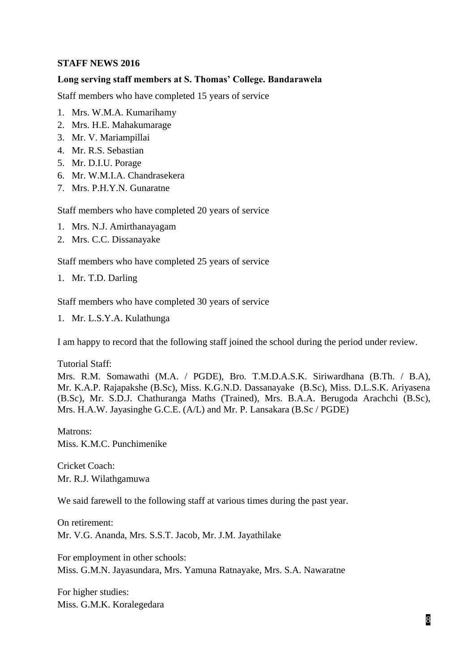#### **STAFF NEWS 2016**

#### **Long serving staff members at S. Thomas' College. Bandarawela**

Staff members who have completed 15 years of service

- 1. Mrs. W.M.A. Kumarihamy
- 2. Mrs. H.E. Mahakumarage
- 3. Mr. V. Mariampillai
- 4. Mr. R.S. Sebastian
- 5. Mr. D.I.U. Porage
- 6. Mr. W.M.I.A. Chandrasekera
- 7. Mrs. P.H.Y.N. Gunaratne

Staff members who have completed 20 years of service

- 1. Mrs. N.J. Amirthanayagam
- 2. Mrs. C.C. Dissanayake

Staff members who have completed 25 years of service

1. Mr. T.D. Darling

Staff members who have completed 30 years of service

1. Mr. L.S.Y.A. Kulathunga

I am happy to record that the following staff joined the school during the period under review.

Tutorial Staff:

Mrs. R.M. Somawathi (M.A. / PGDE), Bro. T.M.D.A.S.K. Siriwardhana (B.Th. / B.A), Mr. K.A.P. Rajapakshe (B.Sc), Miss. K.G.N.D. Dassanayake (B.Sc), Miss. D.L.S.K. Ariyasena (B.Sc), Mr. S.D.J. Chathuranga Maths (Trained), Mrs. B.A.A. Berugoda Arachchi (B.Sc), Mrs. H.A.W. Jayasinghe G.C.E. (A/L) and Mr. P. Lansakara (B.Sc / PGDE)

Matrons: Miss. K.M.C. Punchimenike

Cricket Coach: Mr. R.J. Wilathgamuwa

We said farewell to the following staff at various times during the past year.

On retirement: Mr. V.G. Ananda, Mrs. S.S.T. Jacob, Mr. J.M. Jayathilake

For employment in other schools: Miss. G.M.N. Jayasundara, Mrs. Yamuna Ratnayake, Mrs. S.A. Nawaratne

For higher studies: Miss. G.M.K. Koralegedara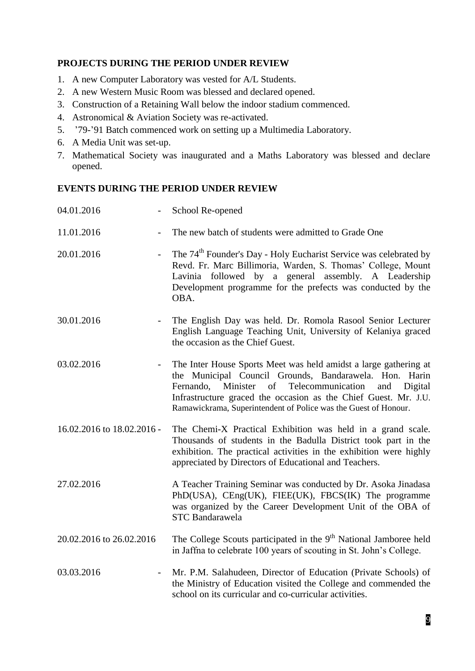# **PROJECTS DURING THE PERIOD UNDER REVIEW**

- 1. A new Computer Laboratory was vested for A/L Students.
- 2. A new Western Music Room was blessed and declared opened.
- 3. Construction of a Retaining Wall below the indoor stadium commenced.
- 4. Astronomical & Aviation Society was re-activated.
- 5. '79-'91 Batch commenced work on setting up a Multimedia Laboratory.
- 6. A Media Unit was set-up.
- 7. Mathematical Society was inaugurated and a Maths Laboratory was blessed and declare opened.

# **EVENTS DURING THE PERIOD UNDER REVIEW**

| 04.01.2016                             | School Re-opened                                                                                                                                                                                                                                                                                                                    |
|----------------------------------------|-------------------------------------------------------------------------------------------------------------------------------------------------------------------------------------------------------------------------------------------------------------------------------------------------------------------------------------|
| 11.01.2016                             | The new batch of students were admitted to Grade One                                                                                                                                                                                                                                                                                |
| 20.01.2016<br>$\overline{\phantom{m}}$ | The 74 <sup>th</sup> Founder's Day - Holy Eucharist Service was celebrated by<br>Revd. Fr. Marc Billimoria, Warden, S. Thomas' College, Mount<br>Lavinia followed by a general assembly. A Leadership<br>Development programme for the prefects was conducted by the<br>OBA.                                                        |
| 30.01.2016                             | The English Day was held. Dr. Romola Rasool Senior Lecturer<br>English Language Teaching Unit, University of Kelaniya graced<br>the occasion as the Chief Guest.                                                                                                                                                                    |
| 03.02.2016                             | The Inter House Sports Meet was held amidst a large gathering at<br>the Municipal Council Grounds, Bandarawela. Hon. Harin<br>Minister of<br>Telecommunication<br>Fernando,<br>Digital<br>and<br>Infrastructure graced the occasion as the Chief Guest. Mr. J.U.<br>Ramawickrama, Superintendent of Police was the Guest of Honour. |
| 16.02.2016 to 18.02.2016 -             | The Chemi-X Practical Exhibition was held in a grand scale.<br>Thousands of students in the Badulla District took part in the<br>exhibition. The practical activities in the exhibition were highly<br>appreciated by Directors of Educational and Teachers.                                                                        |
| 27.02.2016                             | A Teacher Training Seminar was conducted by Dr. Asoka Jinadasa<br>PhD(USA), CEng(UK), FIEE(UK), FBCS(IK) The programme<br>was organized by the Career Development Unit of the OBA of<br><b>STC Bandarawela</b>                                                                                                                      |
| 20.02.2016 to 26.02.2016               | The College Scouts participated in the 9 <sup>th</sup> National Jamboree held<br>in Jaffna to celebrate 100 years of scouting in St. John's College.                                                                                                                                                                                |
| 03.03.2016                             | Mr. P.M. Salahudeen, Director of Education (Private Schools) of<br>the Ministry of Education visited the College and commended the<br>school on its curricular and co-curricular activities.                                                                                                                                        |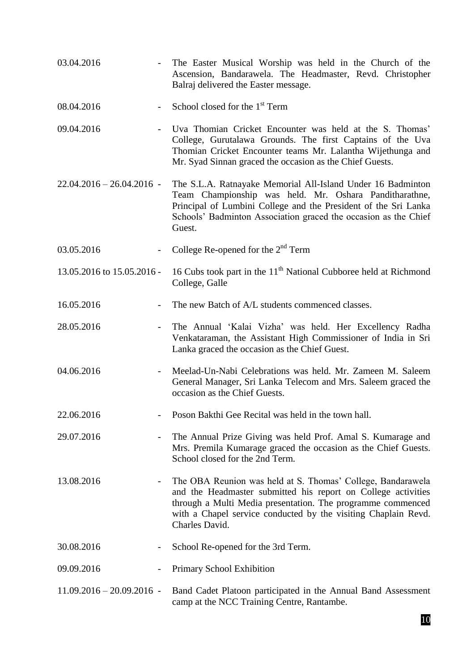| 03.04.2016                  |                          | The Easter Musical Worship was held in the Church of the<br>Ascension, Bandarawela. The Headmaster, Revd. Christopher<br>Balraj delivered the Easter message.                                                                                                                   |
|-----------------------------|--------------------------|---------------------------------------------------------------------------------------------------------------------------------------------------------------------------------------------------------------------------------------------------------------------------------|
| 08.04.2016                  | $\overline{\phantom{a}}$ | School closed for the 1 <sup>st</sup> Term                                                                                                                                                                                                                                      |
| 09.04.2016                  | $\overline{a}$           | Uva Thomian Cricket Encounter was held at the S. Thomas'<br>College, Gurutalawa Grounds. The first Captains of the Uva<br>Thomian Cricket Encounter teams Mr. Lalantha Wijethunga and<br>Mr. Syad Sinnan graced the occasion as the Chief Guests.                               |
| $22.04.2016 - 26.04.2016 -$ |                          | The S.L.A. Ratnayake Memorial All-Island Under 16 Badminton<br>Team Championship was held. Mr. Oshara Panditharathne,<br>Principal of Lumbini College and the President of the Sri Lanka<br>Schools' Badminton Association graced the occasion as the Chief<br>Guest.           |
| 03.05.2016                  |                          | College Re-opened for the $2nd$ Term                                                                                                                                                                                                                                            |
| 13.05.2016 to 15.05.2016 -  |                          | 16 Cubs took part in the 11 <sup>th</sup> National Cubboree held at Richmond<br>College, Galle                                                                                                                                                                                  |
| 16.05.2016                  | $\overline{\phantom{a}}$ | The new Batch of A/L students commenced classes.                                                                                                                                                                                                                                |
| 28.05.2016                  |                          | The Annual 'Kalai Vizha' was held. Her Excellency Radha<br>Venkataraman, the Assistant High Commissioner of India in Sri<br>Lanka graced the occasion as the Chief Guest.                                                                                                       |
| 04.06.2016                  |                          | Meelad-Un-Nabi Celebrations was held. Mr. Zameen M. Saleem<br>General Manager, Sri Lanka Telecom and Mrs. Saleem graced the<br>occasion as the Chief Guests.                                                                                                                    |
| 22.06.2016                  |                          | Poson Bakthi Gee Recital was held in the town hall.                                                                                                                                                                                                                             |
| 29.07.2016                  |                          | The Annual Prize Giving was held Prof. Amal S. Kumarage and<br>Mrs. Premila Kumarage graced the occasion as the Chief Guests.<br>School closed for the 2nd Term.                                                                                                                |
| 13.08.2016                  |                          | The OBA Reunion was held at S. Thomas' College, Bandarawela<br>and the Headmaster submitted his report on College activities<br>through a Multi Media presentation. The programme commenced<br>with a Chapel service conducted by the visiting Chaplain Revd.<br>Charles David. |
| 30.08.2016                  |                          | School Re-opened for the 3rd Term.                                                                                                                                                                                                                                              |
| 09.09.2016                  |                          | Primary School Exhibition                                                                                                                                                                                                                                                       |
| $11.09.2016 - 20.09.2016$ - |                          | Band Cadet Platoon participated in the Annual Band Assessment<br>camp at the NCC Training Centre, Rantambe.                                                                                                                                                                     |
|                             |                          | 10                                                                                                                                                                                                                                                                              |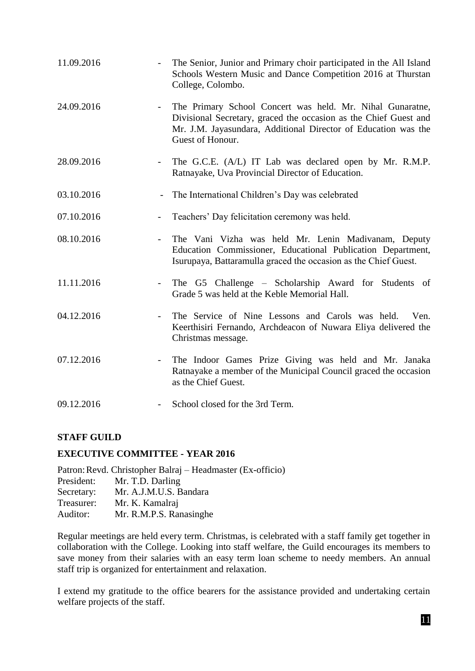| 11.09.2016 |                          | The Senior, Junior and Primary choir participated in the All Island<br>Schools Western Music and Dance Competition 2016 at Thurstan<br>College, Colombo.                                                            |
|------------|--------------------------|---------------------------------------------------------------------------------------------------------------------------------------------------------------------------------------------------------------------|
| 24.09.2016 |                          | The Primary School Concert was held. Mr. Nihal Gunaratne,<br>Divisional Secretary, graced the occasion as the Chief Guest and<br>Mr. J.M. Jayasundara, Additional Director of Education was the<br>Guest of Honour. |
| 28.09.2016 |                          | The G.C.E. (A/L) IT Lab was declared open by Mr. R.M.P.<br>Ratnayake, Uva Provincial Director of Education.                                                                                                         |
| 03.10.2016 | $\overline{\phantom{a}}$ | The International Children's Day was celebrated                                                                                                                                                                     |
| 07.10.2016 |                          | Teachers' Day felicitation ceremony was held.                                                                                                                                                                       |
| 08.10.2016 | $\overline{\phantom{a}}$ | The Vani Vizha was held Mr. Lenin Madivanam, Deputy<br>Education Commissioner, Educational Publication Department,<br>Isurupaya, Battaramulla graced the occasion as the Chief Guest.                               |
| 11.11.2016 |                          | The G5 Challenge – Scholarship Award for Students of<br>Grade 5 was held at the Keble Memorial Hall.                                                                                                                |
| 04.12.2016 |                          | The Service of Nine Lessons and Carols was held.<br>Ven.<br>Keerthisiri Fernando, Archdeacon of Nuwara Eliya delivered the<br>Christmas message.                                                                    |
| 07.12.2016 |                          | The Indoor Games Prize Giving was held and Mr. Janaka<br>Ratnayake a member of the Municipal Council graced the occasion<br>as the Chief Guest.                                                                     |
| 09.12.2016 |                          | School closed for the 3rd Term.                                                                                                                                                                                     |

# **STAFF GUILD**

# **EXECUTIVE COMMITTEE - YEAR 2016**

|            | Patron: Revd. Christopher Balraj – Headmaster (Ex-officio) |
|------------|------------------------------------------------------------|
| President: | Mr. T.D. Darling                                           |
| Secretary: | Mr. A.J.M.U.S. Bandara                                     |
| Treasurer: | Mr. K. Kamalraj                                            |
| Auditor:   | Mr. R.M.P.S. Ranasinghe                                    |
|            |                                                            |

Regular meetings are held every term. Christmas, is celebrated with a staff family get together in collaboration with the College. Looking into staff welfare, the Guild encourages its members to save money from their salaries with an easy term loan scheme to needy members. An annual staff trip is organized for entertainment and relaxation.

I extend my gratitude to the office bearers for the assistance provided and undertaking certain welfare projects of the staff.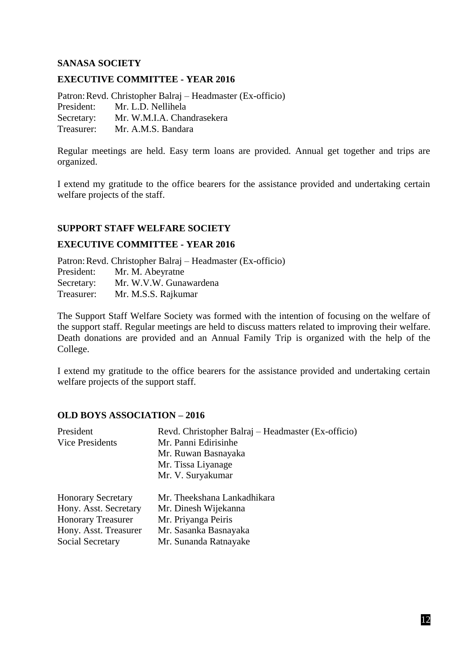#### **SANASA SOCIETY**

#### **EXECUTIVE COMMITTEE - YEAR 2016**

Patron:Revd. Christopher Balraj – Headmaster (Ex-officio) President: Mr. L.D. Nellihela Secretary: Mr. W.M.I.A. Chandrasekera Treasurer: Mr. A.M.S. Bandara

Regular meetings are held. Easy term loans are provided. Annual get together and trips are organized.

I extend my gratitude to the office bearers for the assistance provided and undertaking certain welfare projects of the staff.

#### **SUPPORT STAFF WELFARE SOCIETY**

#### **EXECUTIVE COMMITTEE - YEAR 2016**

Patron:Revd. Christopher Balraj – Headmaster (Ex-officio)

| President: | Mr. M. Abeyratne       |
|------------|------------------------|
| Secretary: | Mr. W.V.W. Gunawardena |
| Treasurer: | Mr. M.S.S. Rajkumar    |

The Support Staff Welfare Society was formed with the intention of focusing on the welfare of the support staff. Regular meetings are held to discuss matters related to improving their welfare. Death donations are provided and an Annual Family Trip is organized with the help of the College.

I extend my gratitude to the office bearers for the assistance provided and undertaking certain welfare projects of the support staff.

#### **OLD BOYS ASSOCIATION – 2016**

| President                                           | Revd. Christopher Balraj – Headmaster (Ex-officio)                                                                                                                                                                                                                                                                                 |
|-----------------------------------------------------|------------------------------------------------------------------------------------------------------------------------------------------------------------------------------------------------------------------------------------------------------------------------------------------------------------------------------------|
| Vice Presidents                                     | Mr. Panni Edirisinhe                                                                                                                                                                                                                                                                                                               |
|                                                     | Mr. Ruwan Basnayaka                                                                                                                                                                                                                                                                                                                |
|                                                     | Mr. Tissa Liyanage                                                                                                                                                                                                                                                                                                                 |
|                                                     | Mr. V. Suryakumar                                                                                                                                                                                                                                                                                                                  |
| <b>Honorary Secretary</b>                           | Mr. Theekshana Lankadhikara                                                                                                                                                                                                                                                                                                        |
| Hony. Asst. Secretary                               | Mr. Dinesh Wijekanna                                                                                                                                                                                                                                                                                                               |
| <b>Honorary Treasurer</b>                           | Mr. Priyanga Peiris                                                                                                                                                                                                                                                                                                                |
| $\mathbf{r}$ $\mathbf{r}$ $\mathbf{r}$ $\mathbf{r}$ | $\mathbf{1}$ $\mathbf{r}$ $\mathbf{r}$ $\mathbf{r}$ $\mathbf{r}$ $\mathbf{r}$ $\mathbf{r}$ $\mathbf{r}$ $\mathbf{r}$ $\mathbf{r}$ $\mathbf{r}$ $\mathbf{r}$ $\mathbf{r}$ $\mathbf{r}$ $\mathbf{r}$ $\mathbf{r}$ $\mathbf{r}$ $\mathbf{r}$ $\mathbf{r}$ $\mathbf{r}$ $\mathbf{r}$ $\mathbf{r}$ $\mathbf{r}$ $\mathbf{r}$ $\mathbf{$ |

Hony. Asst. Treasurer Mr. Sasanka Basnayaka

Social Secretary Mr. Sunanda Ratnayake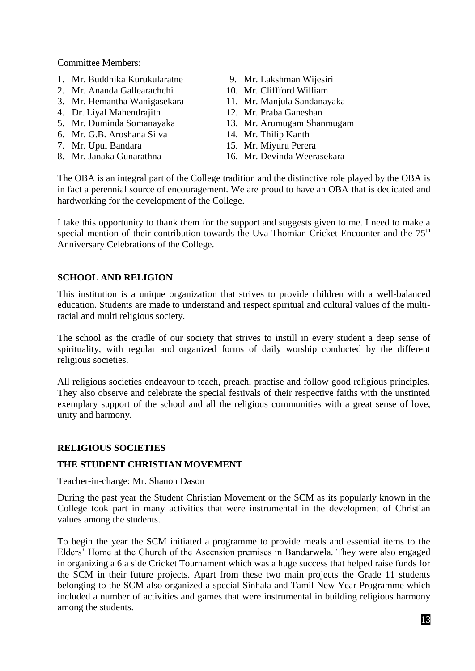Committee Members:

- 1. Mr. Buddhika Kurukularatne 9. Mr. Lakshman Wijesiri
- 2. Mr. Ananda Gallearachchi 10. Mr. Cliffford William
- 3. Mr. Hemantha Wanigasekara 11. Mr. Manjula Sandanayaka
- 4. Dr. Liyal Mahendrajith 12. Mr. Praba Ganeshan
- 
- 6. Mr. G.B. Aroshana Silva 14. Mr. Thilip Kanth
- 
- 
- 
- 
- 
- 
- 5. Mr. Duminda Somanayaka 13. Mr. Arumugam Shanmugam
	-
- 7. Mr. Upul Bandara 15. Mr. Miyuru Perera<br>8. Mr. Janaka Gunarathna 16. Mr. Devinda Weera
	- 16. Mr. Devinda Weerasekara

The OBA is an integral part of the College tradition and the distinctive role played by the OBA is in fact a perennial source of encouragement. We are proud to have an OBA that is dedicated and hardworking for the development of the College.

I take this opportunity to thank them for the support and suggests given to me. I need to make a special mention of their contribution towards the Uva Thomian Cricket Encounter and the  $75<sup>th</sup>$ Anniversary Celebrations of the College.

# **SCHOOL AND RELIGION**

This institution is a unique organization that strives to provide children with a well-balanced education. Students are made to understand and respect spiritual and cultural values of the multiracial and multi religious society.

The school as the cradle of our society that strives to instill in every student a deep sense of spirituality, with regular and organized forms of daily worship conducted by the different religious societies.

All religious societies endeavour to teach, preach, practise and follow good religious principles. They also observe and celebrate the special festivals of their respective faiths with the unstinted exemplary support of the school and all the religious communities with a great sense of love, unity and harmony.

# **RELIGIOUS SOCIETIES**

# **THE STUDENT CHRISTIAN MOVEMENT**

Teacher-in-charge: Mr. Shanon Dason

During the past year the Student Christian Movement or the SCM as its popularly known in the College took part in many activities that were instrumental in the development of Christian values among the students.

To begin the year the SCM initiated a programme to provide meals and essential items to the Elders' Home at the Church of the Ascension premises in Bandarwela. They were also engaged in organizing a 6 a side Cricket Tournament which was a huge success that helped raise funds for the SCM in their future projects. Apart from these two main projects the Grade 11 students belonging to the SCM also organized a special Sinhala and Tamil New Year Programme which included a number of activities and games that were instrumental in building religious harmony among the students.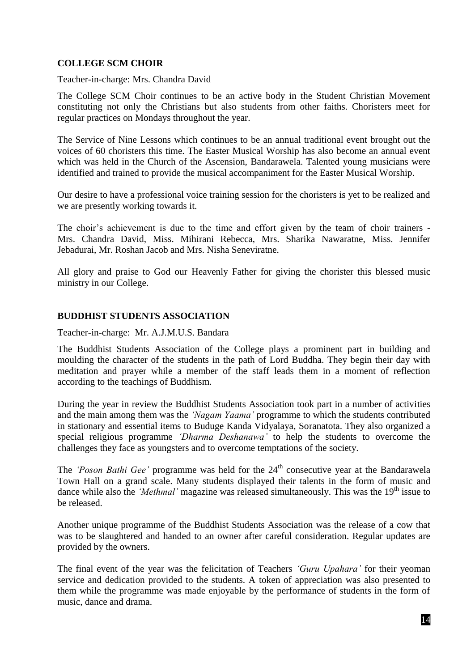# **COLLEGE SCM CHOIR**

Teacher-in-charge: Mrs. Chandra David

The College SCM Choir continues to be an active body in the Student Christian Movement constituting not only the Christians but also students from other faiths. Choristers meet for regular practices on Mondays throughout the year.

The Service of Nine Lessons which continues to be an annual traditional event brought out the voices of 60 choristers this time. The Easter Musical Worship has also become an annual event which was held in the Church of the Ascension, Bandarawela. Talented young musicians were identified and trained to provide the musical accompaniment for the Easter Musical Worship.

Our desire to have a professional voice training session for the choristers is yet to be realized and we are presently working towards it.

The choir's achievement is due to the time and effort given by the team of choir trainers - Mrs. Chandra David, Miss. Mihirani Rebecca, Mrs. Sharika Nawaratne, Miss. Jennifer Jebadurai, Mr. Roshan Jacob and Mrs. Nisha Seneviratne.

All glory and praise to God our Heavenly Father for giving the chorister this blessed music ministry in our College.

## **BUDDHIST STUDENTS ASSOCIATION**

Teacher-in-charge: Mr. A.J.M.U.S. Bandara

The Buddhist Students Association of the College plays a prominent part in building and moulding the character of the students in the path of Lord Buddha. They begin their day with meditation and prayer while a member of the staff leads them in a moment of reflection according to the teachings of Buddhism.

During the year in review the Buddhist Students Association took part in a number of activities and the main among them was the *'Nagam Yaama'* programme to which the students contributed in stationary and essential items to Buduge Kanda Vidyalaya, Soranatota. They also organized a special religious programme *'Dharma Deshanawa'* to help the students to overcome the challenges they face as youngsters and to overcome temptations of the society.

The *'Poson Bathi Gee'* programme was held for the 24<sup>th</sup> consecutive year at the Bandarawela Town Hall on a grand scale. Many students displayed their talents in the form of music and dance while also the *'Methmal'* magazine was released simultaneously. This was the 19<sup>th</sup> issue to be released.

Another unique programme of the Buddhist Students Association was the release of a cow that was to be slaughtered and handed to an owner after careful consideration. Regular updates are provided by the owners.

The final event of the year was the felicitation of Teachers *'Guru Upahara'* for their yeoman service and dedication provided to the students. A token of appreciation was also presented to them while the programme was made enjoyable by the performance of students in the form of music, dance and drama.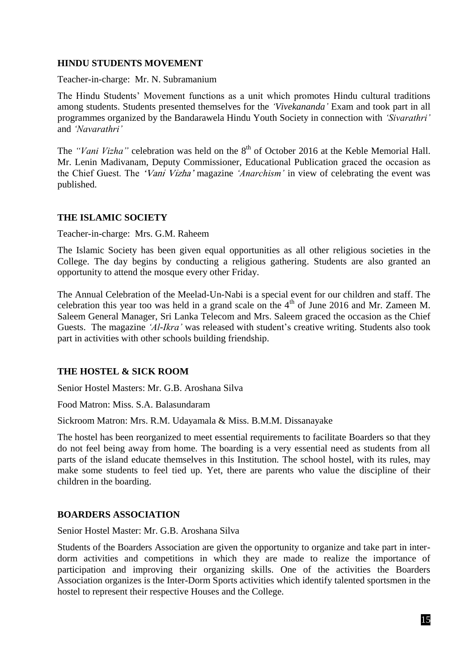### **HINDU STUDENTS MOVEMENT**

Teacher-in-charge: Mr. N. Subramanium

The Hindu Students' Movement functions as a unit which promotes Hindu cultural traditions among students. Students presented themselves for the *'Vivekananda'* Exam and took part in all programmes organized by the Bandarawela Hindu Youth Society in connection with *'Sivarathri'* and *'Navarathri'*

The *"Vani Vizha"* celebration was held on the 8<sup>th</sup> of October 2016 at the Keble Memorial Hall. Mr. Lenin Madivanam, Deputy Commissioner, Educational Publication graced the occasion as the Chief Guest. The 'Vani Vizha' magazine *'Anarchism'* in view of celebrating the event was published.

## **THE ISLAMIC SOCIETY**

Teacher-in-charge: Mrs. G.M. Raheem

The Islamic Society has been given equal opportunities as all other religious societies in the College. The day begins by conducting a religious gathering. Students are also granted an opportunity to attend the mosque every other Friday.

The Annual Celebration of the Meelad-Un-Nabi is a special event for our children and staff. The celebration this year too was held in a grand scale on the  $4<sup>th</sup>$  of June 2016 and Mr. Zameen M. Saleem General Manager, Sri Lanka Telecom and Mrs. Saleem graced the occasion as the Chief Guests. The magazine *'Al-Ikra'* was released with student's creative writing. Students also took part in activities with other schools building friendship.

# **THE HOSTEL & SICK ROOM**

Senior Hostel Masters: Mr. G.B. Aroshana Silva

Food Matron: Miss. S.A. Balasundaram

Sickroom Matron: Mrs. R.M. Udayamala & Miss. B.M.M. Dissanayake

The hostel has been reorganized to meet essential requirements to facilitate Boarders so that they do not feel being away from home. The boarding is a very essential need as students from all parts of the island educate themselves in this Institution. The school hostel, with its rules, may make some students to feel tied up. Yet, there are parents who value the discipline of their children in the boarding.

#### **BOARDERS ASSOCIATION**

Senior Hostel Master: Mr. G.B. Aroshana Silva

Students of the Boarders Association are given the opportunity to organize and take part in interdorm activities and competitions in which they are made to realize the importance of participation and improving their organizing skills. One of the activities the Boarders Association organizes is the Inter-Dorm Sports activities which identify talented sportsmen in the hostel to represent their respective Houses and the College.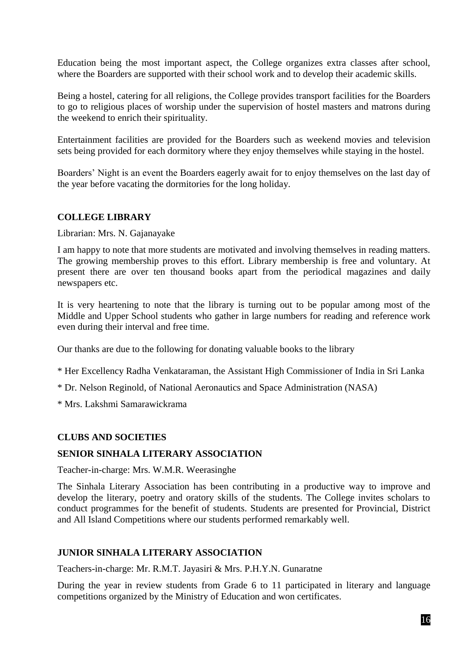Education being the most important aspect, the College organizes extra classes after school, where the Boarders are supported with their school work and to develop their academic skills.

Being a hostel, catering for all religions, the College provides transport facilities for the Boarders to go to religious places of worship under the supervision of hostel masters and matrons during the weekend to enrich their spirituality.

Entertainment facilities are provided for the Boarders such as weekend movies and television sets being provided for each dormitory where they enjoy themselves while staying in the hostel.

Boarders' Night is an event the Boarders eagerly await for to enjoy themselves on the last day of the year before vacating the dormitories for the long holiday.

## **COLLEGE LIBRARY**

Librarian: Mrs. N. Gajanayake

I am happy to note that more students are motivated and involving themselves in reading matters. The growing membership proves to this effort. Library membership is free and voluntary. At present there are over ten thousand books apart from the periodical magazines and daily newspapers etc.

It is very heartening to note that the library is turning out to be popular among most of the Middle and Upper School students who gather in large numbers for reading and reference work even during their interval and free time.

Our thanks are due to the following for donating valuable books to the library

- \* Her Excellency Radha Venkataraman, the Assistant High Commissioner of India in Sri Lanka
- \* Dr. Nelson Reginold, of National Aeronautics and Space Administration (NASA)
- \* Mrs. Lakshmi Samarawickrama

#### **CLUBS AND SOCIETIES**

#### **SENIOR SINHALA LITERARY ASSOCIATION**

Teacher-in-charge: Mrs. W.M.R. Weerasinghe

The Sinhala Literary Association has been contributing in a productive way to improve and develop the literary, poetry and oratory skills of the students. The College invites scholars to conduct programmes for the benefit of students. Students are presented for Provincial, District and All Island Competitions where our students performed remarkably well.

#### **JUNIOR SINHALA LITERARY ASSOCIATION**

Teachers-in-charge: Mr. R.M.T. Jayasiri & Mrs. P.H.Y.N. Gunaratne

During the year in review students from Grade 6 to 11 participated in literary and language competitions organized by the Ministry of Education and won certificates.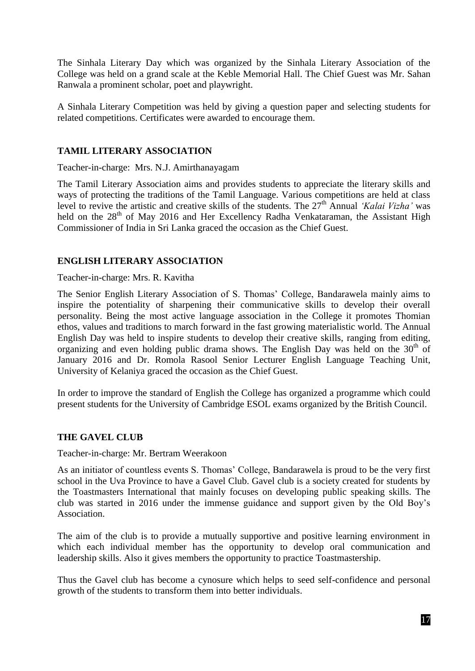The Sinhala Literary Day which was organized by the Sinhala Literary Association of the College was held on a grand scale at the Keble Memorial Hall. The Chief Guest was Mr. Sahan Ranwala a prominent scholar, poet and playwright.

A Sinhala Literary Competition was held by giving a question paper and selecting students for related competitions. Certificates were awarded to encourage them.

# **TAMIL LITERARY ASSOCIATION**

Teacher-in-charge: Mrs. N.J. Amirthanayagam

The Tamil Literary Association aims and provides students to appreciate the literary skills and ways of protecting the traditions of the Tamil Language. Various competitions are held at class level to revive the artistic and creative skills of the students. The 27<sup>th</sup> Annual *'Kalai Vizha'* was held on the  $28<sup>th</sup>$  of May 2016 and Her Excellency Radha Venkataraman, the Assistant High Commissioner of India in Sri Lanka graced the occasion as the Chief Guest.

# **ENGLISH LITERARY ASSOCIATION**

Teacher-in-charge: Mrs. R. Kavitha

The Senior English Literary Association of S. Thomas' College, Bandarawela mainly aims to inspire the potentiality of sharpening their communicative skills to develop their overall personality. Being the most active language association in the College it promotes Thomian ethos, values and traditions to march forward in the fast growing materialistic world. The Annual English Day was held to inspire students to develop their creative skills, ranging from editing, organizing and even holding public drama shows. The English Day was held on the  $30<sup>th</sup>$  of January 2016 and Dr. Romola Rasool Senior Lecturer English Language Teaching Unit, University of Kelaniya graced the occasion as the Chief Guest.

In order to improve the standard of English the College has organized a programme which could present students for the University of Cambridge ESOL exams organized by the British Council.

# **THE GAVEL CLUB**

Teacher-in-charge: Mr. Bertram Weerakoon

As an initiator of countless events S. Thomas' College, Bandarawela is proud to be the very first school in the Uva Province to have a Gavel Club. Gavel club is a society created for students by the Toastmasters International that mainly focuses on developing public speaking skills. The club was started in 2016 under the immense guidance and support given by the Old Boy's Association.

The aim of the club is to provide a mutually supportive and positive learning environment in which each individual member has the opportunity to develop oral communication and leadership skills. Also it gives members the opportunity to practice Toastmastership.

Thus the Gavel club has become a cynosure which helps to seed self-confidence and personal growth of the students to transform them into better individuals.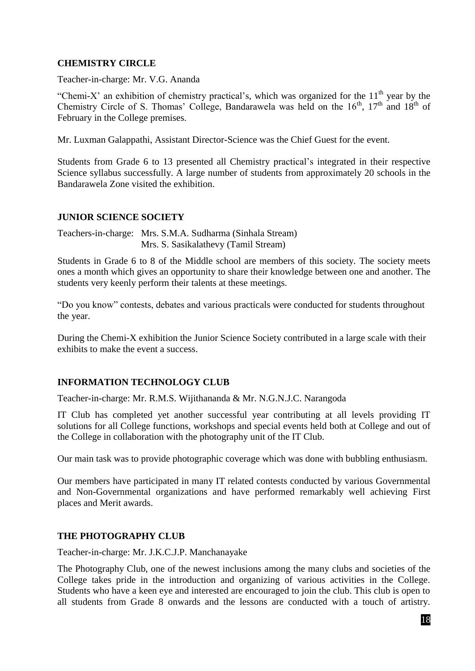# **CHEMISTRY CIRCLE**

Teacher-in-charge: Mr. V.G. Ananda

"Chemi-X' an exhibition of chemistry practical's, which was organized for the  $11<sup>th</sup>$  year by the Chemistry Circle of S. Thomas' College, Bandarawela was held on the  $16<sup>th</sup>$ ,  $17<sup>th</sup>$  and  $18<sup>th</sup>$  of February in the College premises.

Mr. Luxman Galappathi, Assistant Director-Science was the Chief Guest for the event.

Students from Grade 6 to 13 presented all Chemistry practical's integrated in their respective Science syllabus successfully. A large number of students from approximately 20 schools in the Bandarawela Zone visited the exhibition.

# **JUNIOR SCIENCE SOCIETY**

Teachers-in-charge: Mrs. S.M.A. Sudharma (Sinhala Stream) Mrs. S. Sasikalathevy (Tamil Stream)

Students in Grade 6 to 8 of the Middle school are members of this society. The society meets ones a month which gives an opportunity to share their knowledge between one and another. The students very keenly perform their talents at these meetings.

"Do you know" contests, debates and various practicals were conducted for students throughout the year.

During the Chemi-X exhibition the Junior Science Society contributed in a large scale with their exhibits to make the event a success.

# **INFORMATION TECHNOLOGY CLUB**

Teacher-in-charge: Mr. R.M.S. Wijithananda & Mr. N.G.N.J.C. Narangoda

IT Club has completed yet another successful year contributing at all levels providing IT solutions for all College functions, workshops and special events held both at College and out of the College in collaboration with the photography unit of the IT Club.

Our main task was to provide photographic coverage which was done with bubbling enthusiasm.

Our members have participated in many IT related contests conducted by various Governmental and Non-Governmental organizations and have performed remarkably well achieving First places and Merit awards.

# **THE PHOTOGRAPHY CLUB**

Teacher-in-charge: Mr. J.K.C.J.P. Manchanayake

The Photography Club, one of the newest inclusions among the many clubs and societies of the College takes pride in the introduction and organizing of various activities in the College. Students who have a keen eye and interested are encouraged to join the club. This club is open to all students from Grade 8 onwards and the lessons are conducted with a touch of artistry.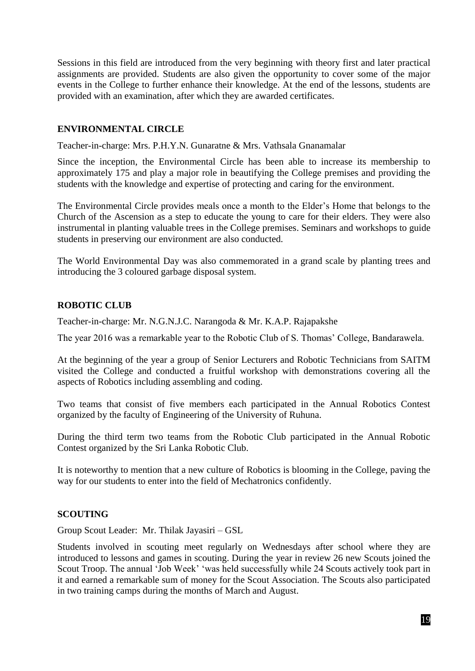Sessions in this field are introduced from the very beginning with theory first and later practical assignments are provided. Students are also given the opportunity to cover some of the major events in the College to further enhance their knowledge. At the end of the lessons, students are provided with an examination, after which they are awarded certificates.

## **ENVIRONMENTAL CIRCLE**

Teacher-in-charge: Mrs. P.H.Y.N. Gunaratne & Mrs. Vathsala Gnanamalar

Since the inception, the Environmental Circle has been able to increase its membership to approximately 175 and play a major role in beautifying the College premises and providing the students with the knowledge and expertise of protecting and caring for the environment.

The Environmental Circle provides meals once a month to the Elder's Home that belongs to the Church of the Ascension as a step to educate the young to care for their elders. They were also instrumental in planting valuable trees in the College premises. Seminars and workshops to guide students in preserving our environment are also conducted.

The World Environmental Day was also commemorated in a grand scale by planting trees and introducing the 3 coloured garbage disposal system.

# **ROBOTIC CLUB**

Teacher-in-charge: Mr. N.G.N.J.C. Narangoda & Mr. K.A.P. Rajapakshe

The year 2016 was a remarkable year to the Robotic Club of S. Thomas' College, Bandarawela.

At the beginning of the year a group of Senior Lecturers and Robotic Technicians from SAITM visited the College and conducted a fruitful workshop with demonstrations covering all the aspects of Robotics including assembling and coding.

Two teams that consist of five members each participated in the Annual Robotics Contest organized by the faculty of Engineering of the University of Ruhuna.

During the third term two teams from the Robotic Club participated in the Annual Robotic Contest organized by the Sri Lanka Robotic Club.

It is noteworthy to mention that a new culture of Robotics is blooming in the College, paving the way for our students to enter into the field of Mechatronics confidently.

#### **SCOUTING**

Group Scout Leader: Mr. Thilak Jayasiri – GSL

Students involved in scouting meet regularly on Wednesdays after school where they are introduced to lessons and games in scouting. During the year in review 26 new Scouts joined the Scout Troop. The annual 'Job Week' 'was held successfully while 24 Scouts actively took part in it and earned a remarkable sum of money for the Scout Association. The Scouts also participated in two training camps during the months of March and August.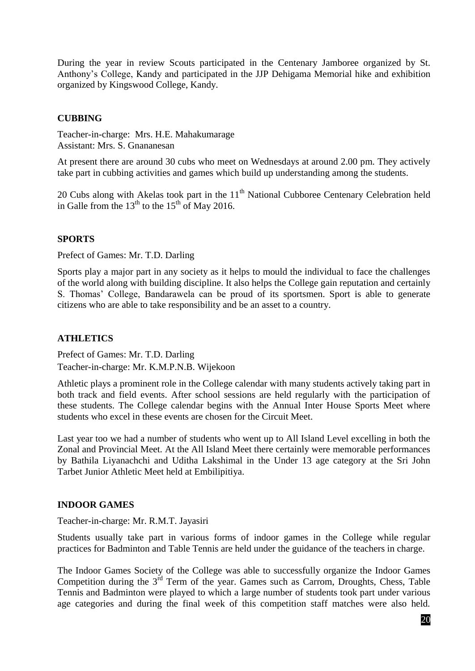During the year in review Scouts participated in the Centenary Jamboree organized by St. Anthony's College, Kandy and participated in the JJP Dehigama Memorial hike and exhibition organized by Kingswood College, Kandy.

# **CUBBING**

Teacher-in-charge: Mrs. H.E. Mahakumarage Assistant: Mrs. S. Gnananesan

At present there are around 30 cubs who meet on Wednesdays at around 2.00 pm. They actively take part in cubbing activities and games which build up understanding among the students.

20 Cubs along with Akelas took part in the  $11<sup>th</sup>$  National Cubboree Centenary Celebration held in Galle from the  $13<sup>th</sup>$  to the  $15<sup>th</sup>$  of May 2016.

## **SPORTS**

Prefect of Games: Mr. T.D. Darling

Sports play a major part in any society as it helps to mould the individual to face the challenges of the world along with building discipline. It also helps the College gain reputation and certainly S. Thomas' College, Bandarawela can be proud of its sportsmen. Sport is able to generate citizens who are able to take responsibility and be an asset to a country.

## **ATHLETICS**

Prefect of Games: Mr. T.D. Darling Teacher-in-charge: Mr. K.M.P.N.B. Wijekoon

Athletic plays a prominent role in the College calendar with many students actively taking part in both track and field events. After school sessions are held regularly with the participation of these students. The College calendar begins with the Annual Inter House Sports Meet where students who excel in these events are chosen for the Circuit Meet.

Last year too we had a number of students who went up to All Island Level excelling in both the Zonal and Provincial Meet. At the All Island Meet there certainly were memorable performances by Bathila Liyanachchi and Uditha Lakshimal in the Under 13 age category at the Sri John Tarbet Junior Athletic Meet held at Embilipitiya.

#### **INDOOR GAMES**

Teacher-in-charge: Mr. R.M.T. Jayasiri

Students usually take part in various forms of indoor games in the College while regular practices for Badminton and Table Tennis are held under the guidance of the teachers in charge.

The Indoor Games Society of the College was able to successfully organize the Indoor Games Competition during the  $3^{rd}$  Term of the year. Games such as Carrom, Droughts, Chess, Table Tennis and Badminton were played to which a large number of students took part under various age categories and during the final week of this competition staff matches were also held.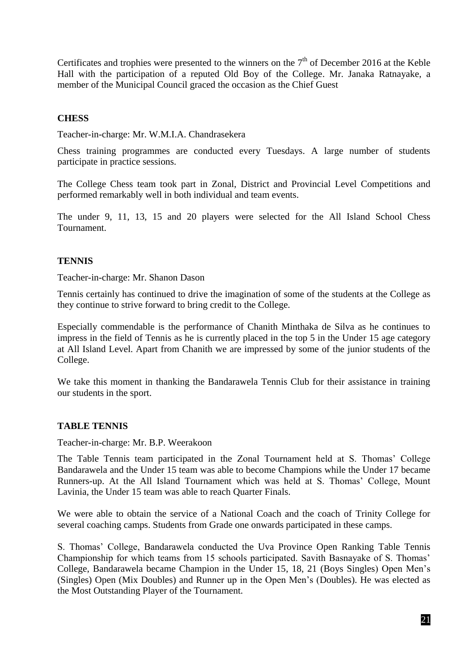Certificates and trophies were presented to the winners on the  $7<sup>th</sup>$  of December 2016 at the Keble Hall with the participation of a reputed Old Boy of the College. Mr. Janaka Ratnayake, a member of the Municipal Council graced the occasion as the Chief Guest

## **CHESS**

Teacher-in-charge: Mr. W.M.I.A. Chandrasekera

Chess training programmes are conducted every Tuesdays. A large number of students participate in practice sessions.

The College Chess team took part in Zonal, District and Provincial Level Competitions and performed remarkably well in both individual and team events.

The under 9, 11, 13, 15 and 20 players were selected for the All Island School Chess Tournament.

## **TENNIS**

Teacher-in-charge: Mr. Shanon Dason

Tennis certainly has continued to drive the imagination of some of the students at the College as they continue to strive forward to bring credit to the College.

Especially commendable is the performance of Chanith Minthaka de Silva as he continues to impress in the field of Tennis as he is currently placed in the top 5 in the Under 15 age category at All Island Level. Apart from Chanith we are impressed by some of the junior students of the College.

We take this moment in thanking the Bandarawela Tennis Club for their assistance in training our students in the sport.

#### **TABLE TENNIS**

Teacher-in-charge: Mr. B.P. Weerakoon

The Table Tennis team participated in the Zonal Tournament held at S. Thomas' College Bandarawela and the Under 15 team was able to become Champions while the Under 17 became Runners-up. At the All Island Tournament which was held at S. Thomas' College, Mount Lavinia, the Under 15 team was able to reach Quarter Finals.

We were able to obtain the service of a National Coach and the coach of Trinity College for several coaching camps. Students from Grade one onwards participated in these camps.

S. Thomas' College, Bandarawela conducted the Uva Province Open Ranking Table Tennis Championship for which teams from 15 schools participated. Savith Basnayake of S. Thomas' College, Bandarawela became Champion in the Under 15, 18, 21 (Boys Singles) Open Men's (Singles) Open (Mix Doubles) and Runner up in the Open Men's (Doubles). He was elected as the Most Outstanding Player of the Tournament.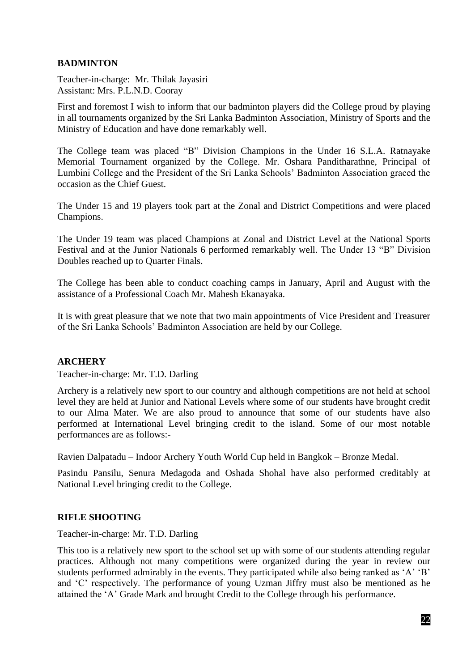# **BADMINTON**

Teacher-in-charge: Mr. Thilak Jayasiri Assistant: Mrs. P.L.N.D. Cooray

First and foremost I wish to inform that our badminton players did the College proud by playing in all tournaments organized by the Sri Lanka Badminton Association, Ministry of Sports and the Ministry of Education and have done remarkably well.

The College team was placed "B" Division Champions in the Under 16 S.L.A. Ratnayake Memorial Tournament organized by the College. Mr. Oshara Panditharathne, Principal of Lumbini College and the President of the Sri Lanka Schools' Badminton Association graced the occasion as the Chief Guest.

The Under 15 and 19 players took part at the Zonal and District Competitions and were placed Champions.

The Under 19 team was placed Champions at Zonal and District Level at the National Sports Festival and at the Junior Nationals 6 performed remarkably well. The Under 13 "B" Division Doubles reached up to Quarter Finals.

The College has been able to conduct coaching camps in January, April and August with the assistance of a Professional Coach Mr. Mahesh Ekanayaka.

It is with great pleasure that we note that two main appointments of Vice President and Treasurer of the Sri Lanka Schools' Badminton Association are held by our College.

#### **ARCHERY**

Teacher-in-charge: Mr. T.D. Darling

Archery is a relatively new sport to our country and although competitions are not held at school level they are held at Junior and National Levels where some of our students have brought credit to our Alma Mater. We are also proud to announce that some of our students have also performed at International Level bringing credit to the island. Some of our most notable performances are as follows:-

Ravien Dalpatadu – Indoor Archery Youth World Cup held in Bangkok – Bronze Medal.

Pasindu Pansilu, Senura Medagoda and Oshada Shohal have also performed creditably at National Level bringing credit to the College.

#### **RIFLE SHOOTING**

Teacher-in-charge: Mr. T.D. Darling

This too is a relatively new sport to the school set up with some of our students attending regular practices. Although not many competitions were organized during the year in review our students performed admirably in the events. They participated while also being ranked as 'A' 'B' and 'C' respectively. The performance of young Uzman Jiffry must also be mentioned as he attained the 'A' Grade Mark and brought Credit to the College through his performance.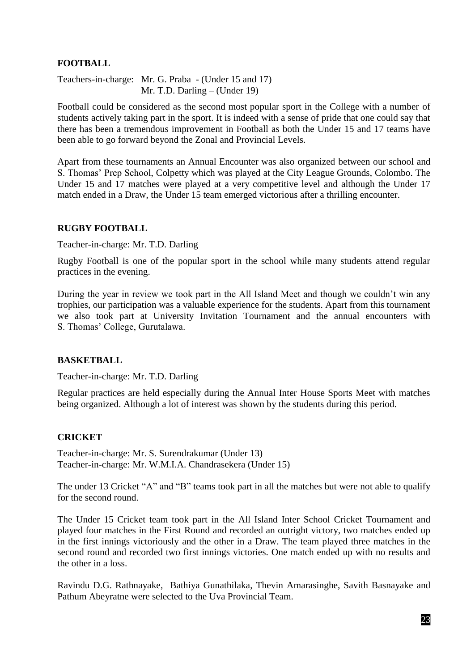# **FOOTBALL**

Teachers-in-charge: Mr. G. Praba - (Under 15 and 17) Mr. T.D. Darling – (Under 19)

Football could be considered as the second most popular sport in the College with a number of students actively taking part in the sport. It is indeed with a sense of pride that one could say that there has been a tremendous improvement in Football as both the Under 15 and 17 teams have been able to go forward beyond the Zonal and Provincial Levels.

Apart from these tournaments an Annual Encounter was also organized between our school and S. Thomas' Prep School, Colpetty which was played at the City League Grounds, Colombo. The Under 15 and 17 matches were played at a very competitive level and although the Under 17 match ended in a Draw, the Under 15 team emerged victorious after a thrilling encounter.

#### **RUGBY FOOTBALL**

Teacher-in-charge: Mr. T.D. Darling

Rugby Football is one of the popular sport in the school while many students attend regular practices in the evening.

During the year in review we took part in the All Island Meet and though we couldn't win any trophies, our participation was a valuable experience for the students. Apart from this tournament we also took part at University Invitation Tournament and the annual encounters with S. Thomas' College, Gurutalawa.

#### **BASKETBALL**

Teacher-in-charge: Mr. T.D. Darling

Regular practices are held especially during the Annual Inter House Sports Meet with matches being organized. Although a lot of interest was shown by the students during this period.

#### **CRICKET**

Teacher-in-charge: Mr. S. Surendrakumar (Under 13) Teacher-in-charge: Mr. W.M.I.A. Chandrasekera (Under 15)

The under 13 Cricket "A" and "B" teams took part in all the matches but were not able to qualify for the second round.

The Under 15 Cricket team took part in the All Island Inter School Cricket Tournament and played four matches in the First Round and recorded an outright victory, two matches ended up in the first innings victoriously and the other in a Draw. The team played three matches in the second round and recorded two first innings victories. One match ended up with no results and the other in a loss.

Ravindu D.G. Rathnayake, Bathiya Gunathilaka, Thevin Amarasinghe, Savith Basnayake and Pathum Abeyratne were selected to the Uva Provincial Team.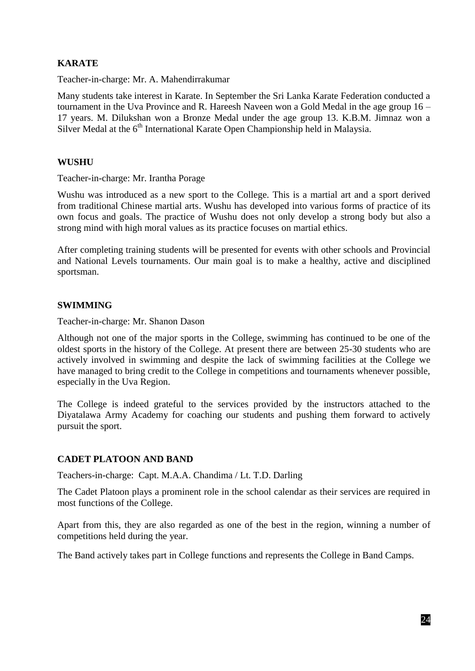# **KARATE**

Teacher-in-charge: Mr. A. Mahendirrakumar

Many students take interest in Karate. In September the Sri Lanka Karate Federation conducted a tournament in the Uva Province and R. Hareesh Naveen won a Gold Medal in the age group 16 – 17 years. M. Dilukshan won a Bronze Medal under the age group 13. K.B.M. Jimnaz won a Silver Medal at the  $6<sup>th</sup>$  International Karate Open Championship held in Malaysia.

## **WUSHU**

Teacher-in-charge: Mr. Irantha Porage

Wushu was introduced as a new sport to the College. This is a martial art and a sport derived from traditional Chinese martial arts. Wushu has developed into various forms of practice of its own focus and goals. The practice of Wushu does not only develop a strong body but also a strong mind with high moral values as its practice focuses on martial ethics.

After completing training students will be presented for events with other schools and Provincial and National Levels tournaments. Our main goal is to make a healthy, active and disciplined sportsman.

## **SWIMMING**

Teacher-in-charge: Mr. Shanon Dason

Although not one of the major sports in the College, swimming has continued to be one of the oldest sports in the history of the College. At present there are between 25-30 students who are actively involved in swimming and despite the lack of swimming facilities at the College we have managed to bring credit to the College in competitions and tournaments whenever possible, especially in the Uva Region.

The College is indeed grateful to the services provided by the instructors attached to the Diyatalawa Army Academy for coaching our students and pushing them forward to actively pursuit the sport.

# **CADET PLATOON AND BAND**

Teachers-in-charge: Capt. M.A.A. Chandima / Lt. T.D. Darling

The Cadet Platoon plays a prominent role in the school calendar as their services are required in most functions of the College.

Apart from this, they are also regarded as one of the best in the region, winning a number of competitions held during the year.

The Band actively takes part in College functions and represents the College in Band Camps.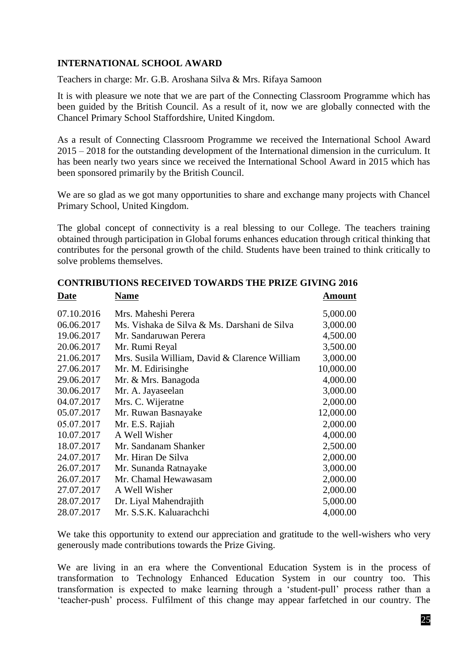# **INTERNATIONAL SCHOOL AWARD**

Teachers in charge: Mr. G.B. Aroshana Silva & Mrs. Rifaya Samoon

It is with pleasure we note that we are part of the Connecting Classroom Programme which has been guided by the British Council. As a result of it, now we are globally connected with the Chancel Primary School Staffordshire, United Kingdom.

As a result of Connecting Classroom Programme we received the International School Award 2015 – 2018 for the outstanding development of the International dimension in the curriculum. It has been nearly two years since we received the International School Award in 2015 which has been sponsored primarily by the British Council.

We are so glad as we got many opportunities to share and exchange many projects with Chancel Primary School, United Kingdom.

The global concept of connectivity is a real blessing to our College. The teachers training obtained through participation in Global forums enhances education through critical thinking that contributes for the personal growth of the child. Students have been trained to think critically to solve problems themselves.

| Dale       | гуаніс                                        | Allioulit |
|------------|-----------------------------------------------|-----------|
| 07.10.2016 | Mrs. Maheshi Perera                           | 5,000.00  |
| 06.06.2017 | Ms. Vishaka de Silva & Ms. Darshani de Silva  | 3,000.00  |
| 19.06.2017 | Mr. Sandaruwan Perera                         | 4,500.00  |
| 20.06.2017 | Mr. Rumi Reyal                                | 3,500.00  |
| 21.06.2017 | Mrs. Susila William, David & Clarence William | 3,000.00  |
| 27.06.2017 | Mr. M. Edirisinghe                            | 10,000.00 |
| 29.06.2017 | Mr. & Mrs. Banagoda                           | 4,000.00  |
| 30.06.2017 | Mr. A. Jayaseelan                             | 3,000.00  |
| 04.07.2017 | Mrs. C. Wijeratne                             | 2,000.00  |
| 05.07.2017 | Mr. Ruwan Basnayake                           | 12,000.00 |
| 05.07.2017 | Mr. E.S. Rajiah                               | 2,000.00  |
| 10.07.2017 | A Well Wisher                                 | 4,000.00  |
| 18.07.2017 | Mr. Sandanam Shanker                          | 2,500.00  |
| 24.07.2017 | Mr. Hiran De Silva                            | 2,000.00  |
| 26.07.2017 | Mr. Sunanda Ratnayake                         | 3,000.00  |
| 26.07.2017 | Mr. Chamal Hewawasam                          | 2,000.00  |
| 27.07.2017 | A Well Wisher                                 | 2,000.00  |
| 28.07.2017 | Dr. Liyal Mahendrajith                        | 5,000.00  |
| 28.07.2017 | Mr. S.S.K. Kaluarachchi                       | 4,000.00  |
|            |                                               |           |

**CONTRIBUTIONS RECEIVED TOWARDS THE PRIZE GIVING 2016 Date Name Amount**

We take this opportunity to extend our appreciation and gratitude to the well-wishers who very generously made contributions towards the Prize Giving.

We are living in an era where the Conventional Education System is in the process of transformation to Technology Enhanced Education System in our country too. This transformation is expected to make learning through a 'student-pull' process rather than a 'teacher-push' process. Fulfilment of this change may appear farfetched in our country. The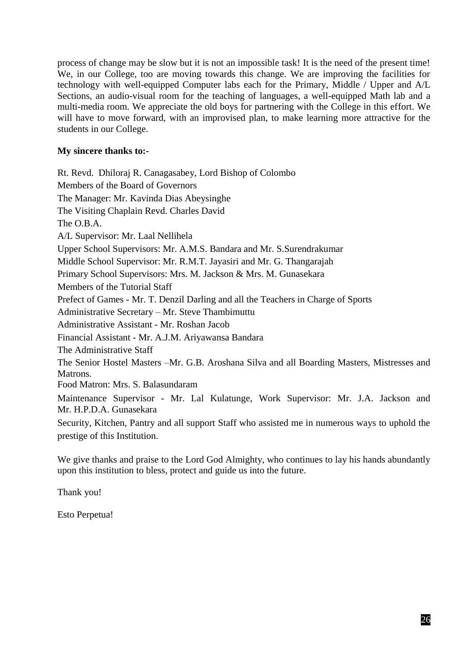process of change may be slow but it is not an impossible task! It is the need of the present time! We, in our College, too are moving towards this change. We are improving the facilities for technology with well-equipped Computer labs each for the Primary, Middle / Upper and A/L Sections, an audio-visual room for the teaching of languages, a well-equipped Math lab and a multi-media room. We appreciate the old boys for partnering with the College in this effort. We will have to move forward, with an improvised plan, to make learning more attractive for the students in our College.

# **My sincere thanks to:-**

Rt. Revd. Dhiloraj R. Canagasabey, Lord Bishop of Colombo Members of the Board of Governors The Manager: Mr. Kavinda Dias Abeysinghe The Visiting Chaplain Revd. Charles David The O.B.A. A/L Supervisor: Mr. Laal Nellihela Upper School Supervisors: Mr. A.M.S. Bandara and Mr. S.Surendrakumar Middle School Supervisor: Mr. R.M.T. Jayasiri and Mr. G. Thangarajah Primary School Supervisors: Mrs. M. Jackson & Mrs. M. Gunasekara Members of the Tutorial Staff Prefect of Games - Mr. T. Denzil Darling and all the Teachers in Charge of Sports Administrative Secretary – Mr. Steve Thambimuttu Administrative Assistant - Mr. Roshan Jacob Financial Assistant - Mr. A.J.M. Ariyawansa Bandara The Administrative Staff The Senior Hostel Masters –Mr. G.B. Aroshana Silva and all Boarding Masters, Mistresses and Matrons. Food Matron: Mrs. S. Balasundaram Maintenance Supervisor - Mr. Lal Kulatunge, Work Supervisor: Mr. J.A. Jackson and Mr. H.P.D.A. Gunasekara Security, Kitchen, Pantry and all support Staff who assisted me in numerous ways to uphold the prestige of this Institution.

We give thanks and praise to the Lord God Almighty, who continues to lay his hands abundantly upon this institution to bless, protect and guide us into the future.

Thank you!

Esto Perpetua!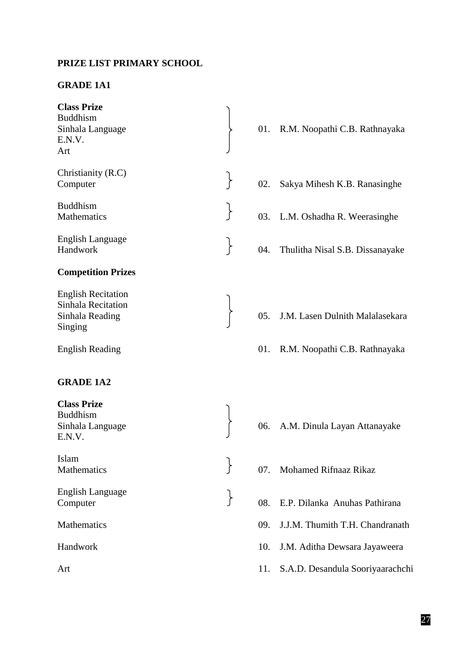## **PRIZE LIST PRIMARY SCHOOL**

## **GRADE 1A1**

| <b>Class Prize</b><br><b>Buddhism</b><br>Sinhala Language<br>E.N.V.<br>Art    |                    | 01. |
|-------------------------------------------------------------------------------|--------------------|-----|
| Christianity (R.C)<br>Computer                                                |                    | 02. |
| <b>Buddhism</b><br><b>Mathematics</b>                                         |                    | 03. |
| <b>English Language</b><br>Handwork                                           |                    | 04. |
| <b>Competition Prizes</b>                                                     |                    |     |
| <b>English Recitation</b><br>Sinhala Recitation<br>Sinhala Reading<br>Singing |                    | 05. |
| <b>English Reading</b>                                                        |                    | 01. |
| <b>GRADE 1A2</b>                                                              |                    |     |
| <b>Class Prize</b><br><b>Buddhism</b><br>Sinhala Language<br>E.N.V.           |                    | 06. |
| Islam<br>Mathematics                                                          | ר                  | 07. |
| English Language<br>Computer                                                  | $\left\{ \right\}$ | 08. |
| Mathematics                                                                   |                    | 09. |
| Handwork                                                                      |                    | 10. |
| Art                                                                           |                    | 11. |
|                                                                               |                    |     |

- R.M. Noopathi C.B. Rathnayaka
- Sakya Mihesh K.B. Ranasinghe
- L.M. Oshadha R. Weerasinghe
- Thulitha Nisal S.B. Dissanayake
- J.M. Lasen Dulnith Malalasekara
- R.M. Noopathi C.B. Rathnayaka
- A.M. Dinula Layan Attanayake
- Mohamed Rifnaaz Rikaz
- E.P. Dilanka Anuhas Pathirana
	- J.J.M. Thumith T.H. Chandranath
	- J.M. Aditha Dewsara Jayaweera
	- S.A.D. Desandula Sooriyaarachchi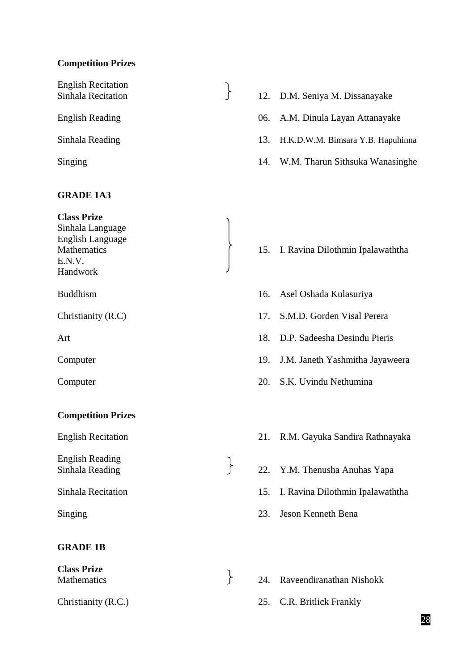# **Competition Prizes**

English Recitation

#### **GRADE 1A3**

**Class Prize** Sinhala Language English Language

E.N.V. Handwork

# **Competition Prizes**

English Reading

# **GRADE 1B**

**Class Prize**

- English Recitation<br>
Sinhala Recitation (12. D.M. Seniya M. Dissanayake
- English Reading 06. A.M. Dinula Layan Attanayake
- Sinhala Reading 13. H.K.D.W.M. Bimsara Y.B. Hapuhinna
- Singing 14. W.M. Tharun Sithsuka Wanasinghe

## Mathematics 15. I. Ravina Dilothmin Ipalawaththa

- Buddhism 16. Asel Oshada Kulasuriya
- Christianity (R.C) 17. S.M.D. Gorden Visal Perera
- Art 18. D.P. Sadeesha Desindu Pieris
- Computer 19. J.M. Janeth Yashmitha Jayaweera
- Computer 20. S.K. Uvindu Nethumina
- English Recitation 21. R.M. Gayuka Sandira Rathnayaka
- English Reading<br>
Sinhala Reading<br>
22. Y.M. Thenusha Anuhas Yapa
- Sinhala Recitation 15. I. Ravina Dilothmin Ipalawaththa
- Singing 23. Jeson Kenneth Bena
- Mathematics 24. Raveendiranathan Nishokk
- Christianity (R.C.) 25. C.R. Britlick Frankly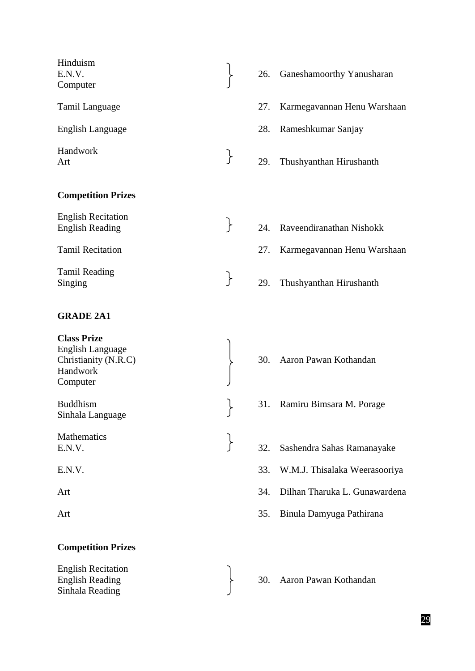| Hinduism<br>E.N.V.<br>Computer                                                         |                   | 26. | Ganeshamoorthy Yanusharan     |
|----------------------------------------------------------------------------------------|-------------------|-----|-------------------------------|
| Tamil Language                                                                         |                   | 27. | Karmegavannan Henu Warshaan   |
| English Language                                                                       |                   |     | 28. Rameshkumar Sanjay        |
| Handwork<br>Art                                                                        | $\left\{ \right.$ | 29. | Thushyanthan Hirushanth       |
| <b>Competition Prizes</b>                                                              |                   |     |                               |
| <b>English Recitation</b><br><b>English Reading</b>                                    | $\left\{ \right.$ |     | 24. Raveendiranathan Nishokk  |
| <b>Tamil Recitation</b>                                                                |                   | 27. | Karmegavannan Henu Warshaan   |
| <b>Tamil Reading</b><br>Singing                                                        | $\left\{ \right.$ | 29. | Thushyanthan Hirushanth       |
| <b>GRADE 2A1</b>                                                                       |                   |     |                               |
| <b>Class Prize</b><br>English Language<br>Christianity (N.R.C)<br>Handwork<br>Computer |                   |     | 30. Aaron Pawan Kothandan     |
| <b>Buddhism</b><br>Sinhala Language                                                    |                   |     | 31. Ramiru Bimsara M. Porage  |
| Mathematics<br>E.N.V.                                                                  |                   | 32. | Sashendra Sahas Ramanayake    |
| E.N.V.                                                                                 |                   | 33. | W.M.J. Thisalaka Weerasooriya |
| Art                                                                                    |                   | 34. | Dilhan Tharuka L. Gunawardena |
| Art                                                                                    |                   | 35. | Binula Damyuga Pathirana      |
| <b>Competition Prizes</b>                                                              |                   |     |                               |
| <b>English Recitation</b><br><b>English Reading</b><br>Sinhala Reading                 |                   | 30. | Aaron Pawan Kothandan         |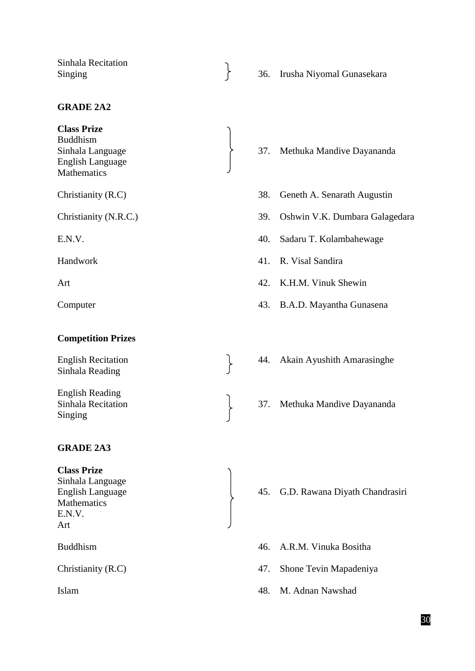Sinhala Recitation

## **GRADE 2A2**

**Class Prize** Buddhism English Language **Mathematics** 

#### **Competition Prizes**

Sinhala Reading

English Reading Singing

#### **GRADE 2A3**

**Class Prize**

Sinhala Language **Mathematics** E.N.V. Art

- Sinhala Recitation<br>Singing 36. Irusha Niyomal Gunasekara
- Sinhala Language 37. Methuka Mandive Dayananda
- Christianity (R.C) 38. Geneth A. Senarath Augustin
- Christianity (N.R.C.) 39. Oshwin V.K. Dumbara Galagedara
- E.N.V. 40. Sadaru T. Kolambahewage
- Handwork 41. R. Visal Sandira
- Art 42. K.H.M. Vinuk Shewin
- Computer 43. B.A.D. Mayantha Gunasena
- English Recitation 1. 144. Akain Ayushith Amarasinghe
- Sinhala Recitation  $\begin{bmatrix} 37. \end{bmatrix}$  Methuka Mandive Dayananda

- English Language 45. G.D. Rawana Diyath Chandrasiri
- Buddhism 46. A.R.M. Vinuka Bositha
- Christianity (R.C) 47. Shone Tevin Mapadeniya
- Islam 48. M. Adnan Nawshad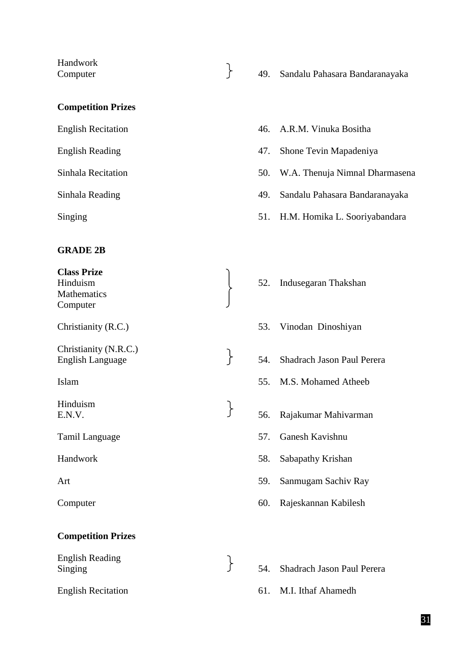Handwork

- 
- Computer 49. Sandalu Pahasara Bandaranayaka
- **Competition Prizes**

English Recitation 46. A.R.M. Vinuka Bositha

# **GRADE 2B**

**Class Prize Mathematics** Computer Christianity (N.R.C.) Hinduism

- **Competition Prizes**
- English Reading English Reading<br>
Singing Singing<br>
S4. Shadrach Jason Paul Perera English Recitation 61. M.I. Ithaf Ahamedh
- 
- English Reading 47. Shone Tevin Mapadeniya
- Sinhala Recitation 50. W.A. Thenuja Nimnal Dharmasena
- Sinhala Reading 49. Sandalu Pahasara Bandaranayaka
- Singing 51. H.M. Homika L. Sooriyabandara
- Hinduism 1. 1999 S2. Indusegaran Thakshan Christianity (R.C.) 53. Vinodan Dinoshiyan Christianity (N.R.C.)<br>English Language  $\begin{array}{ccc} \uparrow & \uparrow & \uparrow \\ \end{array}$  54. Shadrach Jason Paul Perera Islam 55. M.S. Mohamed Atheeb Hinduism<br>E.N.V. 56. Rajakumar Mahivarman Tamil Language 57. Ganesh Kavishnu Handwork 58. Sabapathy Krishan Art 59. Sanmugam Sachiv Ray Computer 60. Rajeskannan Kabilesh
	-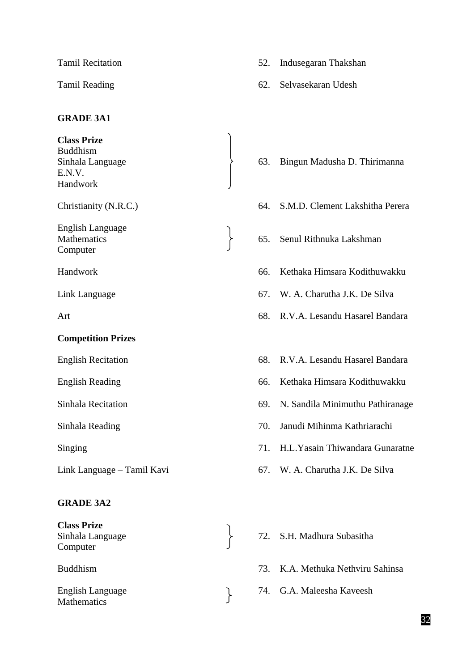# **GRADE 3A1**

**Class Prize** Buddhism Sinhala Language 63. Bingun Madusha D. Thirimanna E.N.V. Handwork Christianity (N.R.C.) 64. S.M.D. Clement Lakshitha Perera English Language Mathematics 65. Senul Rithnuka Lakshman Computer Handwork 66. Kethaka Himsara Kodithuwakku Link Language 67. W. A. Charutha J.K. De Silva Art 68. R.V.A. Lesandu Hasarel Bandara **Competition Prizes** English Recitation 68. R.V.A. Lesandu Hasarel Bandara English Reading 66. Kethaka Himsara Kodithuwakku Sinhala Recitation 69. N. Sandila Minimuthu Pathiranage Sinhala Reading 70. Janudi Mihinma Kathriarachi Singing 71. H.L.Yasain Thiwandara Gunaratne Link Language – Tamil Kavi 67. W. A. Charutha J.K. De Silva **GRADE 3A2 Class Prize** Sinhala Language 72. S.H. Madhura Subasitha Computer

English Language 74. G.A. Maleesha Kaveesh<br>Mathematics **Mathematics** 

- Tamil Recitation 52. Indusegaran Thakshan
- Tamil Reading 62. Selvasekaran Udesh

- 
- 
- 
- 
- 
- 
- 
- 
- 
- 
- 
- 
- 
- Buddhism 73. K.A. Methuka Nethviru Sahinsa
	-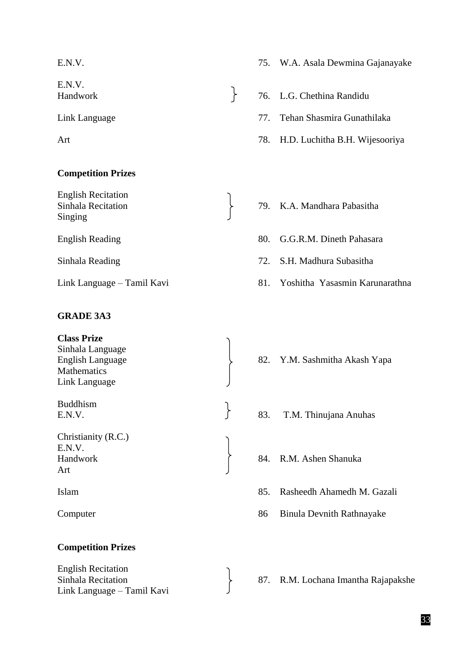E.N.V.

# **Competition Prizes**

English Recitation Singing

# **GRADE 3A3**

**Class Prize** Sinhala Language English Language 82. Y.M. Sashmitha Akash Yapa **Mathematics** Link Language Buddhism E.N.V.  $\qquad \qquad$  83. T.M. Thinujana Anuhas Christianity (R.C.) E.N.V. Handwork 84. R.M. Ashen Shanuka Art Islam 85. Rasheedh Ahamedh M. Gazali

# **Competition Prizes**

English Recitation Link Language – Tamil Kavi

- E.N.V. 75. W.A. Asala Dewmina Gajanayake
- Handwork 76. L.G. Chethina Randidu
- Link Language 77. Tehan Shasmira Gunathilaka
- Art 78. H.D. Luchitha B.H. Wijesooriya
- Sinhala Recitation 79. K.A. Mandhara Pabasitha
- English Reading 80. G.G.R.M. Dineth Pahasara
- Sinhala Reading 72. S.H. Madhura Subasitha
- Link Language Tamil Kavi 81. Yoshitha Yasasmin Karunarathna
	-
	-
	-
	-
- Computer 86 Binula Devnith Rathnayake
- Sinhala Recitation 87. R.M. Lochana Imantha Rajapakshe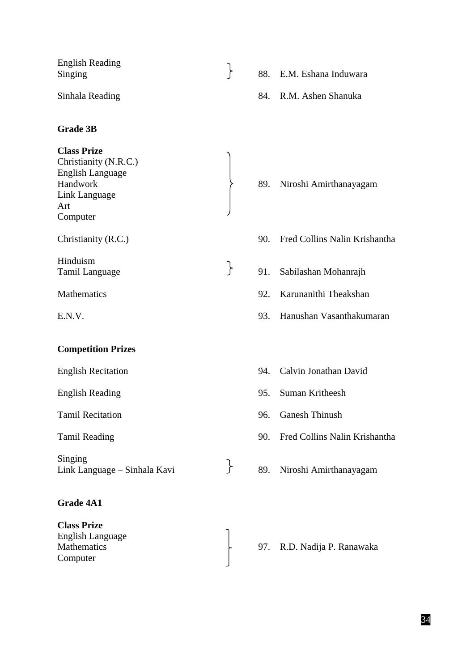| <b>English Reading</b><br>Singing |  | 88. E.M. Eshana Induwara |
|-----------------------------------|--|--------------------------|
| Sinhala Reading                   |  | 84. R.M. Ashen Shanuka   |
| <b>Grade 3B</b>                   |  |                          |
| <b>Class Prize</b>                |  |                          |

Christianity (N.R.C.) English Language Link Language Art Computer Christianity (R.C.) 90. Fred Collins Nalin Krishantha Hinduism<br>Tamil Language Famil 21. Sabilashan Mohanrajh Mathematics 92. Karunanithi Theakshan E.N.V. 93. Hanushan Vasanthakumaran

## **Competition Prizes**

Tamil Recitation 96. Ganesh Thinush

Singing Link Language – Sinhala Kavi 89. Niroshi Amirthanayagam

# **Grade 4A1**

**Class Prize** English Language Computer

- 89. Niroshi Amirthanayagam
- 
- -
- 
- English Recitation 94. Calvin Jonathan David English Reading 95. Suman Kritheesh
	-
- Tamil Reading 90. Fred Collins Nalin Krishantha
	-
- Mathematics  $\begin{array}{ccc} \downarrow & 97. & R.D. \text{Nadija P. Ranawaka} \end{array}$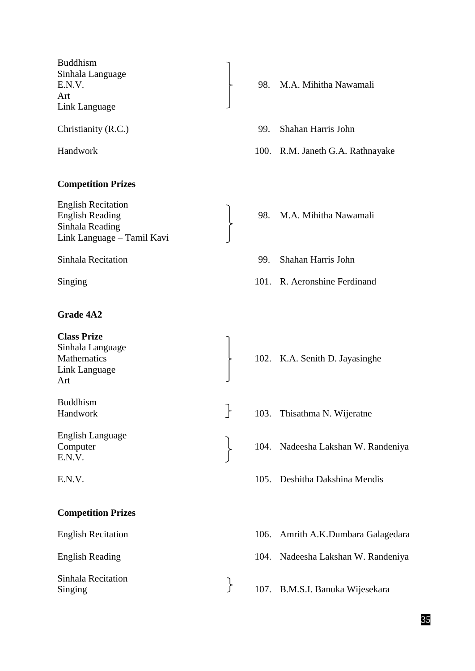Buddhism Sinhala Language Art Link Language

## **Competition Prizes**

English Recitation English Reading 2008. M.A. Mihitha Nawamali Sinhala Reading Link Language – Tamil Kavi

# **Grade 4A2**

**Class Prize** Sinhala Language Mathematics  $\uparrow$  102. K.A. Senith D. Jayasinghe Link Language Art Buddhism Handwork 103. Thisathma N. Wijeratne English Language Computer 104. Nadeesha Lakshan W. Randeniya E.N.V. E.N.V. 105. Deshitha Dakshina Mendis **Competition Prizes** English Recitation 106. Amrith A.K.Dumbara Galagedara

Sinhala Recitation

- E.N.V. 5. 1998. M.A. Mihitha Nawamali
- Christianity (R.C.) 99. Shahan Harris John
- Handwork 100. R.M. Janeth G.A. Rathnayake
	-
- Sinhala Recitation 99. Shahan Harris John
- Singing 101. R. Aeronshine Ferdinand
	-
	-
	-
	-
	-
- English Reading 104. Nadeesha Lakshan W. Randeniya
- Sinhala Recitation<br>
Singing 107. B.M.S.I. Banuka Wijesekara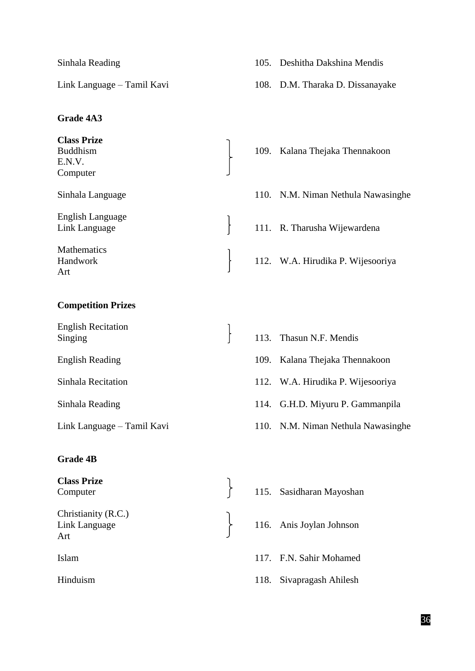# **Grade 4A3**

**Class Prize** Buddhism 109. Kalana Thejaka Thennakoon E.N.V. Computer English Language Link Language 111. R. Tharusha Wijewardena **Mathematics** Handwork 112. W.A. Hirudika P. Wijesooriya Art

# **Competition Prizes**

| <b>English Recitation</b><br>Singing |  |
|--------------------------------------|--|
| <b>English Reading</b>               |  |
| Sinhala Recitation                   |  |
| Sinhala Reading                      |  |
| Link Language – Tamil Kavi           |  |

# **Grade 4B**

**Class Prize** Class Prize<br>
Computer 115. Sasidharan Mayoshan Christianity (R.C.) Link Language 116. Anis Joylan Johnson Art Islam 117. F.N. Sahir Mohamed Hinduism 118. Sivapragash Ahilesh

- Sinhala Reading 105. Deshitha Dakshina Mendis
- Link Language Tamil Kavi 108. D.M. Tharaka D. Dissanayake

- Sinhala Language 110. N.M. Niman Nethula Nawasinghe 113. Thasun N.F. Mendis 109. Kalana Thejaka Thennakoon 112. W.A. Hirudika P. Wijesooriya 114. G.H.D. Miyuru P. Gammanpila ling – Tamil Kavi **110.** N.M. Niman Nethula Nawasinghe
	-
	-
	-
	-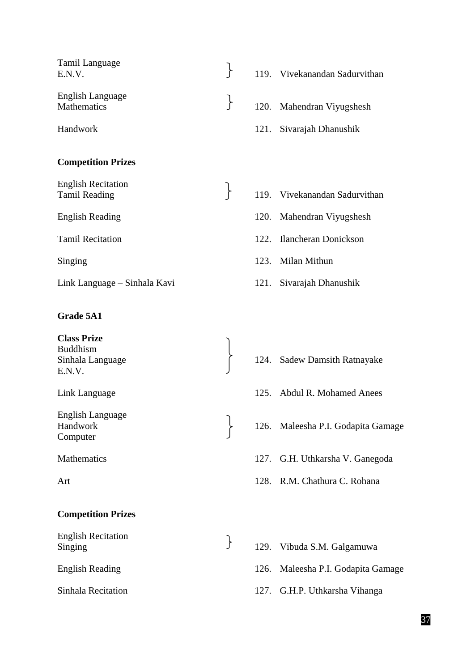- Tamil Language E.N.V. 119. Vivekanandan Sadurvithan English Language English Language<br>
Mathematics 120. Mahendran Viyugshesh
- **Competition Prizes**

English Recitation

Link Language – Sinhala Kavi 121. Sivarajah Dhanushik

## **Grade 5A1**

**Class Prize** Buddhism E.N.V.

English Language Computer

- **Competition Prizes**
- English Recitation English Recitation<br>Singing 129. Vibuda S.M. Galgamuwa
- 
- Handwork 121. Sivarajah Dhanushik
- English Recitation<br>
Tamil Reading Tamil Reading  $\begin{bmatrix} 119. & \text{Vivekanandan Sadurvithan} \\ \text{A} & \text{A} & \text{B} \end{bmatrix}$
- English Reading 120. Mahendran Viyugshesh
- Tamil Recitation 122. Ilancheran Donickson
- Singing 123. Milan Mithun
	-
- Sinhala Language 124. Sadew Damsith Ratnayake
- Link Language 125. Abdul R. Mohamed Anees
- Handwork 126. Maleesha P.I. Godapita Gamage
- Mathematics 127. G.H. Uthkarsha V. Ganegoda
- Art 128. R.M. Chathura C. Rohana
	-
- English Reading 126. Maleesha P.I. Godapita Gamage
- Sinhala Recitation 127. G.H.P. Uthkarsha Vihanga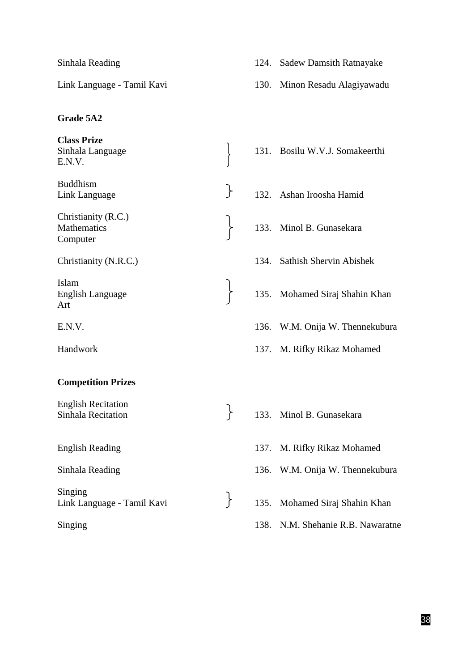## **Grade 5A2**

**Class Prize** Sinhala Language 131. Bosilu W.V.J. Somakeerthi E.N.V. Buddhism Link Language 132. Ashan Iroosha Hamid Christianity (R.C.) Mathematics 133. Minol B. Gunasekara Computer Christianity (N.R.C.) 134. Sathish Shervin Abishek Islam English Language 135. Mohamed Siraj Shahin Khan Art E.N.V. 136. W.M. Onija W. Thennekubura Handwork 137. M. Rifky Rikaz Mohamed **Competition Prizes** English Recitation English Recitation<br>
Sinhala Recitation 133. Minol B. Gunasekara English Reading 137. M. Rifky Rikaz Mohamed Sinhala Reading 136. W.M. Onija W. Thennekubura Singing Link Language - Tamil Kavi 135. Mohamed Siraj Shahin Khan Singing 138. N.M. Shehanie R.B. Nawaratne

Link Language - Tamil Kavi 130. Minon Resadu Alagiyawadu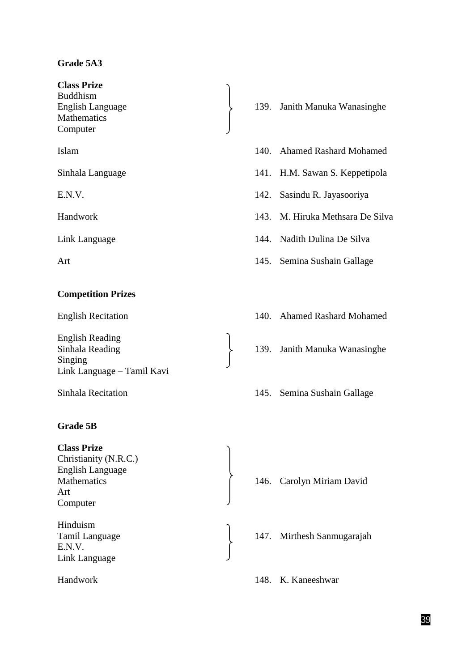# **Grade 5A3**

**Class Prize** Buddhism **Mathematics** Computer

# **Competition Prizes**

English Reading Singing Link Language – Tamil Kavi

# **Grade 5B**

**Class Prize** Christianity (N.R.C.) English Language Art Computer Hinduism

E.N.V. Link Language

- English Language 139. Janith Manuka Wanasinghe
- Islam 140. Ahamed Rashard Mohamed
- Sinhala Language 141. H.M. Sawan S. Keppetipola
- E.N.V. 142. Sasindu R. Jayasooriya
- Handwork 143. M. Hiruka Methsara De Silva
- Link Language 144. Nadith Dulina De Silva
- Art 145. Semina Sushain Gallage
- English Recitation 140. Ahamed Rashard Mohamed
- Sinhala Reading 139. Janith Manuka Wanasinghe
- Sinhala Recitation 145. Semina Sushain Gallage

Mathematics  $\int 146$ . Carolyn Miriam David

Tamil Language 147. Mirthesh Sanmugarajah

Handwork 148. K. Kaneeshwar

# 39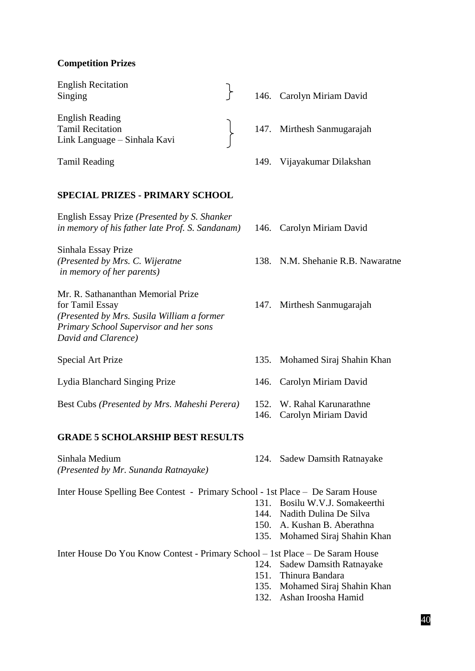## **Competition Prizes**

English Recitation English Recitation<br>
Singing 146. Carolyn Miriam David English Reading Tamil Recitation 147. Mirthesh Sanmugarajah Link Language – Sinhala Kavi

#### **SPECIAL PRIZES - PRIMARY SCHOOL**

English Essay Prize *(Presented by S. Shanker in memory of his father late Prof. S. Sandanam)* 146. Carolyn Miriam David

Sinhala Essay Prize *in memory of her parents)*

Mr. R. Sathananthan Memorial Prize for Tamil Essay 147. Mirthesh Sanmugarajah *(Presented by Mrs. Susila William a former Primary School Supervisor and her sons David and Clarence)*

Lydia Blanchard Singing Prize 146. Carolyn Miriam David

Best Cubs *(Presented by Mrs. Maheshi Perera)* 152. W. Rahal Karunarathne

#### **GRADE 5 SCHOLARSHIP BEST RESULTS**

Sinhala Medium 124. Sadew Damsith Ratnayake *(Presented by Mr. Sunanda Ratnayake)*

Tamil Reading 149. Vijayakumar Dilakshan

- 
- *(Presented by Mrs. C. Wijeratne* 138. N.M. Shehanie R.B. Nawaratne
	-
- Special Art Prize 135. Mohamed Siraj Shahin Khan
	-
	-
	- 146. Carolyn Miriam David
	-

Inter House Spelling Bee Contest - Primary School - 1st Place – De Saram House

- 131. Bosilu W.V.J. Somakeerthi
- 144. Nadith Dulina De Silva
- 150. A. Kushan B. Aberathna
- 135. Mohamed Siraj Shahin Khan

Inter House Do You Know Contest - Primary School – 1st Place – De Saram House

- 124. Sadew Damsith Ratnayake
- 151. Thinura Bandara
- 135. Mohamed Siraj Shahin Khan
- 132. Ashan Iroosha Hamid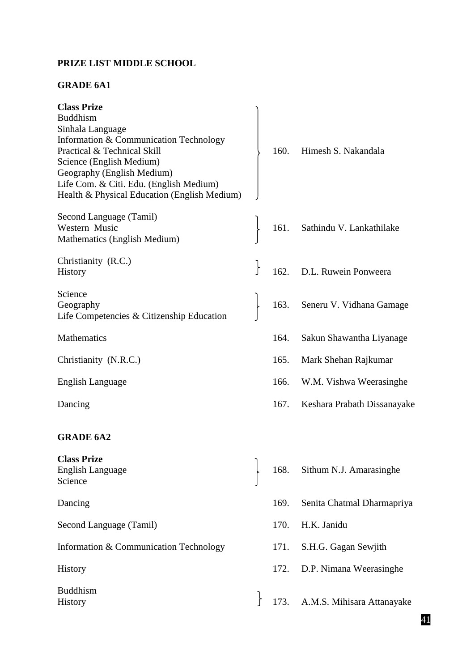# **PRIZE LIST MIDDLE SCHOOL**

# **GRADE 6A1**

| <b>Class Prize</b><br><b>Buddhism</b><br>Sinhala Language<br>Information & Communication Technology<br>Practical & Technical Skill<br>Science (English Medium)<br>Geography (English Medium)<br>Life Com. & Citi. Edu. (English Medium)<br>Health & Physical Education (English Medium) |              | 160. | Himesh S. Nakandala         |
|-----------------------------------------------------------------------------------------------------------------------------------------------------------------------------------------------------------------------------------------------------------------------------------------|--------------|------|-----------------------------|
| Second Language (Tamil)<br>Western Music<br>Mathematics (English Medium)                                                                                                                                                                                                                |              | 161. | Sathindu V. Lankathilake    |
| Christianity (R.C.)<br><b>History</b>                                                                                                                                                                                                                                                   | $\mathbf{r}$ | 162. | D.L. Ruwein Ponweera        |
| Science<br>Geography<br>Life Competencies & Citizenship Education                                                                                                                                                                                                                       |              | 163. | Seneru V. Vidhana Gamage    |
| Mathematics                                                                                                                                                                                                                                                                             |              | 164. | Sakun Shawantha Liyanage    |
| Christianity (N.R.C.)                                                                                                                                                                                                                                                                   |              | 165. | Mark Shehan Rajkumar        |
| English Language                                                                                                                                                                                                                                                                        |              | 166. | W.M. Vishwa Weerasinghe     |
| Dancing                                                                                                                                                                                                                                                                                 |              | 167. | Keshara Prabath Dissanayake |
| <b>GRADE 6A2</b>                                                                                                                                                                                                                                                                        |              |      |                             |
| <b>Class Prize</b><br><b>English Language</b><br>Science                                                                                                                                                                                                                                |              | 168. | Sithum N.J. Amarasinghe     |
| Dancing                                                                                                                                                                                                                                                                                 |              | 169. | Senita Chatmal Dharmapriya  |
| Second Language (Tamil)                                                                                                                                                                                                                                                                 |              | 170. | H.K. Janidu                 |
| Information & Communication Technology                                                                                                                                                                                                                                                  |              | 171. | S.H.G. Gagan Sewjith        |
| History                                                                                                                                                                                                                                                                                 |              | 172. | D.P. Nimana Weerasinghe     |
| <b>Buddhism</b><br>History                                                                                                                                                                                                                                                              |              | 173. | A.M.S. Mihisara Attanayake  |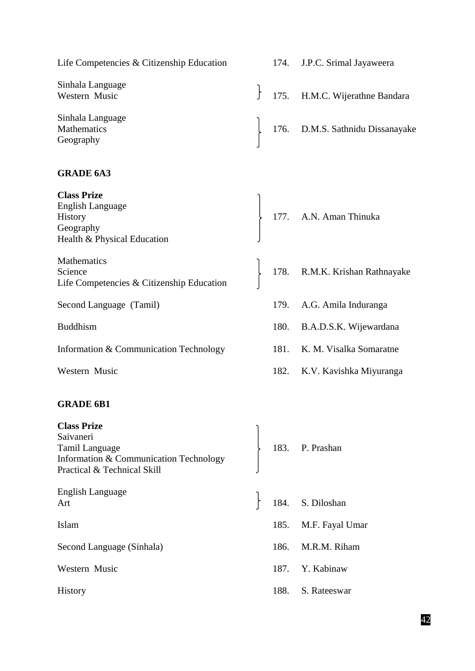| Life Competencies & Citizenship Education                                                                                         |      |      | 174. J.P.C. Srimal Jayaweera     |
|-----------------------------------------------------------------------------------------------------------------------------------|------|------|----------------------------------|
| Sinhala Language<br>Western Music                                                                                                 | $\}$ |      | 175. H.M.C. Wijerathne Bandara   |
| Sinhala Language<br><b>Mathematics</b><br>Geography                                                                               |      |      | 176. D.M.S. Sathnidu Dissanayake |
| <b>GRADE 6A3</b>                                                                                                                  |      |      |                                  |
| <b>Class Prize</b><br><b>English Language</b><br>History<br>Geography<br>Health & Physical Education                              |      |      | 177. A.N. Aman Thinuka           |
| Mathematics<br>Science<br>Life Competencies & Citizenship Education                                                               |      |      | 178. R.M.K. Krishan Rathnayake   |
| Second Language (Tamil)                                                                                                           |      |      | 179. A.G. Amila Induranga        |
| <b>Buddhism</b>                                                                                                                   |      |      | 180. B.A.D.S.K. Wijewardana      |
| Information & Communication Technology                                                                                            |      | 181. | K. M. Visalka Somaratne          |
| Western Music                                                                                                                     |      |      | 182. K.V. Kavishka Miyuranga     |
| <b>GRADE 6B1</b>                                                                                                                  |      |      |                                  |
| <b>Class Prize</b><br>Saivaneri<br><b>Tamil Language</b><br>Information & Communication Technology<br>Practical & Technical Skill |      |      | 183. P. Prashan                  |
| English Language<br>Art                                                                                                           |      |      | 184. S. Diloshan                 |
| Islam                                                                                                                             |      | 185. | M.F. Fayal Umar                  |
| Second Language (Sinhala)                                                                                                         |      | 186. | M.R.M. Riham                     |
| Western Music                                                                                                                     |      | 187. | Y. Kabinaw                       |
| <b>History</b>                                                                                                                    |      | 188. | S. Rateeswar                     |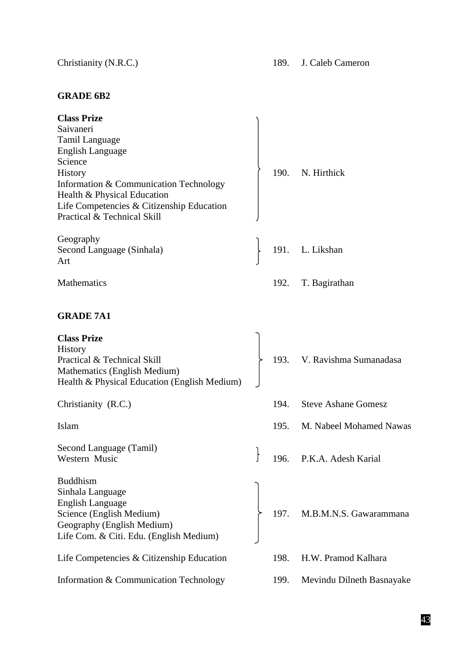# **GRADE 6B2**

| <b>Class Prize</b>                                                                                                                                                                                                                       |      |                             |
|------------------------------------------------------------------------------------------------------------------------------------------------------------------------------------------------------------------------------------------|------|-----------------------------|
| Saivaneri<br>Tamil Language<br><b>English Language</b><br>Science<br><b>History</b><br>Information & Communication Technology<br>Health & Physical Education<br>Life Competencies & Citizenship Education<br>Practical & Technical Skill | 190. | N. Hirthick                 |
| Geography<br>Second Language (Sinhala)<br>Art                                                                                                                                                                                            |      | 191. L. Likshan             |
| <b>Mathematics</b>                                                                                                                                                                                                                       | 192. | T. Bagirathan               |
| <b>GRADE 7A1</b>                                                                                                                                                                                                                         |      |                             |
| <b>Class Prize</b><br>History<br>Practical & Technical Skill<br>Mathematics (English Medium)<br>Health & Physical Education (English Medium)                                                                                             |      | 193. V. Ravishma Sumanadasa |
| Christianity (R.C.)                                                                                                                                                                                                                      | 194. | <b>Steve Ashane Gomesz</b>  |
| Islam                                                                                                                                                                                                                                    | 195. | M. Nabeel Mohamed Nawas     |
| Second Language (Tamil)<br>Western Music                                                                                                                                                                                                 | 196. | P.K.A. Adesh Karial         |
| <b>Buddhism</b><br>Sinhala Language<br><b>English Language</b><br>Science (English Medium)<br>Geography (English Medium)<br>Life Com. & Citi. Edu. (English Medium)                                                                      |      | 197. M.B.M.N.S. Gawarammana |
| Life Competencies & Citizenship Education                                                                                                                                                                                                | 198. | H.W. Pramod Kalhara         |
| Information & Communication Technology                                                                                                                                                                                                   | 199. | Mevindu Dilneth Basnayake   |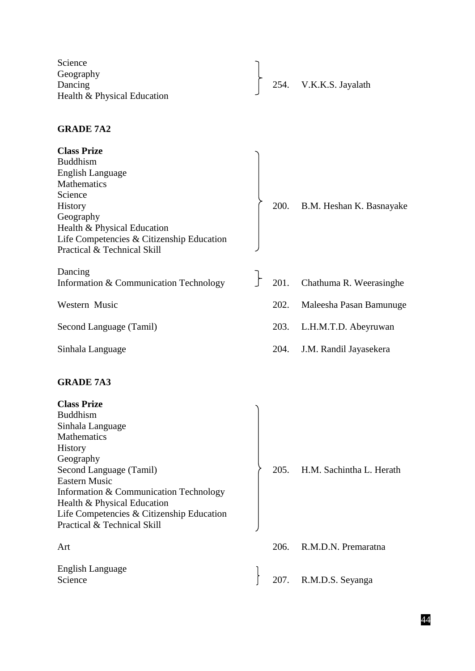| Science                     |  |                        |
|-----------------------------|--|------------------------|
| Geography                   |  |                        |
| Dancing                     |  | 254. V.K.K.S. Jayalath |
| Health & Physical Education |  |                        |

# **GRADE 7A2**

| <b>Class Prize</b><br><b>Buddhism</b><br><b>English Language</b><br><b>Mathematics</b><br>Science<br><b>History</b><br>Geography<br>Health & Physical Education<br>Life Competencies & Citizenship Education<br>Practical & Technical Skill                                                                     | 200. | B.M. Heshan K. Basnayake |
|-----------------------------------------------------------------------------------------------------------------------------------------------------------------------------------------------------------------------------------------------------------------------------------------------------------------|------|--------------------------|
| Dancing<br>Information & Communication Technology                                                                                                                                                                                                                                                               | 201. | Chathuma R. Weerasinghe  |
| Western Music                                                                                                                                                                                                                                                                                                   | 202. | Maleesha Pasan Bamunuge  |
| Second Language (Tamil)                                                                                                                                                                                                                                                                                         | 203. | L.H.M.T.D. Abeyruwan     |
| Sinhala Language                                                                                                                                                                                                                                                                                                | 204. | J.M. Randil Jayasekera   |
| <b>GRADE 7A3</b>                                                                                                                                                                                                                                                                                                |      |                          |
| <b>Class Prize</b><br><b>Buddhism</b><br>Sinhala Language<br>Mathematics<br><b>History</b><br>Geography<br>Second Language (Tamil)<br><b>Eastern Music</b><br>Information & Communication Technology<br>Health & Physical Education<br>Life Competencies & Citizenship Education<br>Practical & Technical Skill | 205. | H.M. Sachintha L. Herath |
| Art                                                                                                                                                                                                                                                                                                             | 206. | R.M.D.N. Premaratna      |
| English Language<br>Science                                                                                                                                                                                                                                                                                     |      | 207. R.M.D.S. Seyanga    |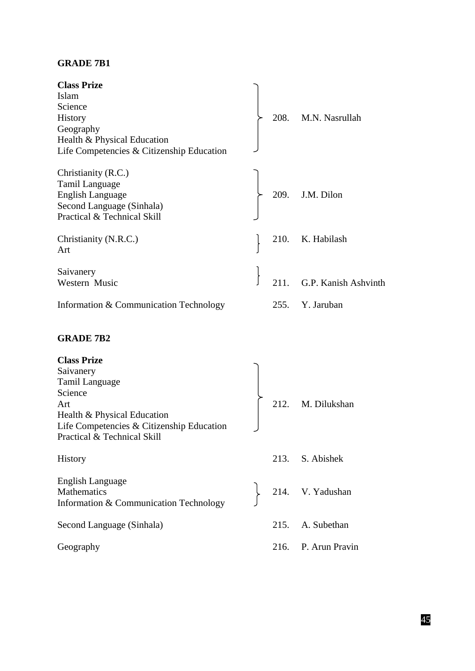# **GRADE 7B1**

| <b>Class Prize</b><br>Islam<br>Science<br><b>History</b><br>Geography<br>Health & Physical Education<br>Life Competencies & Citizenship Education                                     |      | 208. M.N. Nasrullah  |
|---------------------------------------------------------------------------------------------------------------------------------------------------------------------------------------|------|----------------------|
| Christianity (R.C.)<br>Tamil Language<br><b>English Language</b><br>Second Language (Sinhala)<br>Practical & Technical Skill                                                          |      | 209. J.M. Dilon      |
| Christianity (N.R.C.)<br>Art                                                                                                                                                          |      | 210. K. Habilash     |
| Saivanery<br>Western Music                                                                                                                                                            | 211. | G.P. Kanish Ashvinth |
| Information & Communication Technology                                                                                                                                                | 255. | Y. Jaruban           |
|                                                                                                                                                                                       |      |                      |
| <b>GRADE 7B2</b>                                                                                                                                                                      |      |                      |
| <b>Class Prize</b><br>Saivanery<br><b>Tamil Language</b><br>Science<br>Art<br>Health & Physical Education<br>Life Competencies & Citizenship Education<br>Practical & Technical Skill | 212. | M. Dilukshan         |
| History                                                                                                                                                                               |      | 213. S. Abishek      |
| <b>English Language</b><br>Mathematics<br>Information & Communication Technology                                                                                                      |      | 214. V. Yadushan     |
| Second Language (Sinhala)                                                                                                                                                             |      | 215. A. Subethan     |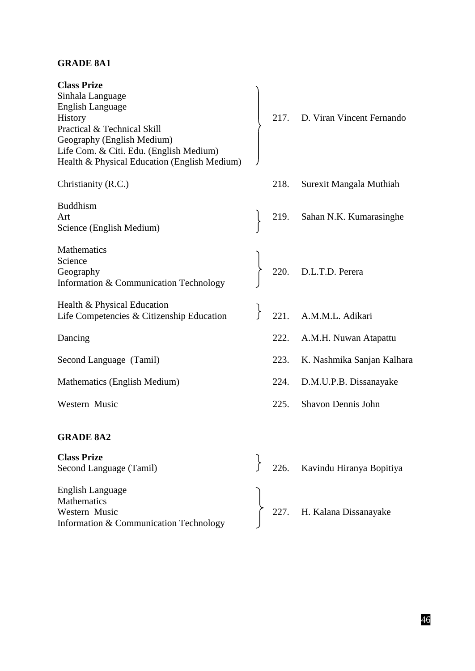# **GRADE 8A1**

| <b>Class Prize</b><br>Sinhala Language<br><b>English Language</b><br>History<br>Practical & Technical Skill<br>Geography (English Medium)<br>Life Com. & Citi. Edu. (English Medium)<br>Health & Physical Education (English Medium) |      | 217. D. Viran Vincent Fernando |
|--------------------------------------------------------------------------------------------------------------------------------------------------------------------------------------------------------------------------------------|------|--------------------------------|
| Christianity (R.C.)                                                                                                                                                                                                                  | 218. | Surexit Mangala Muthiah        |
| <b>Buddhism</b><br>Art<br>Science (English Medium)                                                                                                                                                                                   | 219. | Sahan N.K. Kumarasinghe        |
| Mathematics<br>Science<br>Geography<br>Information & Communication Technology                                                                                                                                                        |      | 220. D.L.T.D. Perera           |
| Health & Physical Education<br>Life Competencies & Citizenship Education                                                                                                                                                             |      | 221. A.M.M.L. Adikari          |
| Dancing                                                                                                                                                                                                                              | 222. | A.M.H. Nuwan Atapattu          |
| Second Language (Tamil)                                                                                                                                                                                                              | 223. | K. Nashmika Sanjan Kalhara     |
| Mathematics (English Medium)                                                                                                                                                                                                         | 224. | D.M.U.P.B. Dissanayake         |
| Western Music                                                                                                                                                                                                                        | 225. | Shavon Dennis John             |
| <b>GRADE 8A2</b>                                                                                                                                                                                                                     |      |                                |
| <b>Class Prize</b><br>Second Language (Tamil)                                                                                                                                                                                        | 226. | Kavindu Hiranya Bopitiya       |
| <b>English Language</b>                                                                                                                                                                                                              |      |                                |

Mathematics<br>Western Music Information & Communication Technology

 $\begin{cases} 227. \quad \text{H. Kalana Dissanayake} \end{cases}$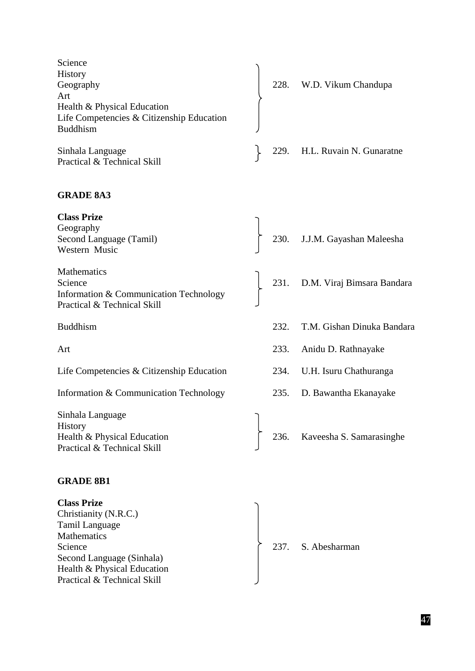| Science<br>History<br>Geography<br>Art<br>Health & Physical Education<br>Life Competencies & Citizenship Education<br><b>Buddhism</b> |      | 228. W.D. Vikum Chandupa        |
|---------------------------------------------------------------------------------------------------------------------------------------|------|---------------------------------|
| Sinhala Language<br>Practical & Technical Skill                                                                                       | 229. | H.L. Ruvain N. Gunaratne        |
| <b>GRADE 8A3</b>                                                                                                                      |      |                                 |
| <b>Class Prize</b><br>Geography<br>Second Language (Tamil)<br>Western Music                                                           |      | 230. J.J.M. Gayashan Maleesha   |
| Mathematics<br>Science<br>Information & Communication Technology<br>Practical & Technical Skill                                       |      | 231. D.M. Viraj Bimsara Bandara |
| <b>Buddhism</b>                                                                                                                       | 232. | T.M. Gishan Dinuka Bandara      |
| Art                                                                                                                                   | 233. | Anidu D. Rathnayake             |
| Life Competencies & Citizenship Education                                                                                             | 234. | U.H. Isuru Chathuranga          |
| Information & Communication Technology                                                                                                | 235. | D. Bawantha Ekanayake           |
| Sinhala Language<br><b>History</b><br>Health & Physical Education<br>Practical & Technical Skill                                      | 236. | Kaveesha S. Samarasinghe        |
|                                                                                                                                       |      |                                 |

# **GRADE 8B1**

| <b>Class Prize</b>          |                    |
|-----------------------------|--------------------|
| Christianity (N.R.C.)       |                    |
| <b>Tamil Language</b>       |                    |
| Mathematics                 |                    |
| Science                     | 237. S. Abesharman |
| Second Language (Sinhala)   |                    |
| Health & Physical Education |                    |
| Practical & Technical Skill |                    |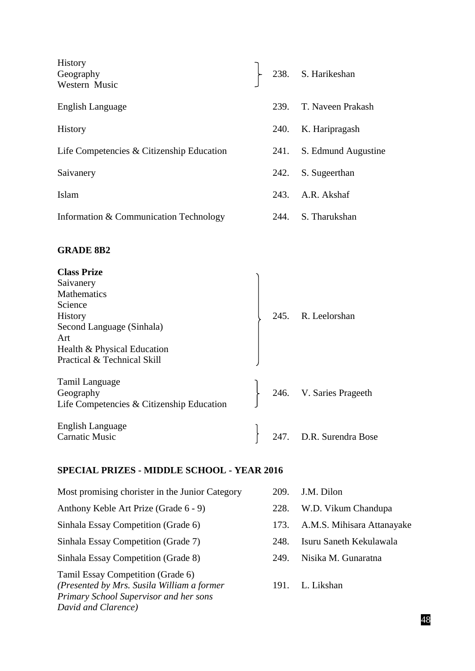| History<br>Geography<br>Western Music                                                                                                                                                    |      | 238. S. Harikeshan  |
|------------------------------------------------------------------------------------------------------------------------------------------------------------------------------------------|------|---------------------|
| English Language                                                                                                                                                                         | 239. | T. Naveen Prakash   |
| <b>History</b>                                                                                                                                                                           | 240. | K. Haripragash      |
| Life Competencies & Citizenship Education                                                                                                                                                | 241. | S. Edmund Augustine |
| Saivanery                                                                                                                                                                                | 242. | S. Sugeerthan       |
| Islam                                                                                                                                                                                    | 243. | A.R. Akshaf         |
| Information & Communication Technology                                                                                                                                                   | 244. | S. Tharukshan       |
| <b>GRADE 8B2</b>                                                                                                                                                                         |      |                     |
| <b>Class Prize</b><br>Saivanery<br>Mathematics<br>Science<br>History<br>Second Language (Sinhala)<br>Art<br>Health & Physical Education<br>Practical & Technical Skill<br>Tamil Language |      | 245. R. Leelorshan  |
|                                                                                                                                                                                          |      |                     |

Geography 246. V. Saries Prageeth Life Competencies & Citizenship Education English Language  $\Big\}$  247. D.R. Surendra Bose

# **SPECIAL PRIZES - MIDDLE SCHOOL - YEAR 2016**

*Primary School Supervisor and her sons* 

*David and Clarence)*

| Most promising chorister in the Junior Category                                 | 209. | J.M. Dilon                 |
|---------------------------------------------------------------------------------|------|----------------------------|
| Anthony Keble Art Prize (Grade 6 - 9)                                           | 228. | W.D. Vikum Chandupa        |
| Sinhala Essay Competition (Grade 6)                                             | 173. | A.M.S. Mihisara Attanayake |
| Sinhala Essay Competition (Grade 7)                                             | 248. | Isuru Saneth Kekulawala    |
| Sinhala Essay Competition (Grade 8)                                             | 249. | Nisika M. Gunaratna        |
| Tamil Essay Competition (Grade 6)<br>(Presented by Mrs. Susila William a former | 191. | L. Likshan                 |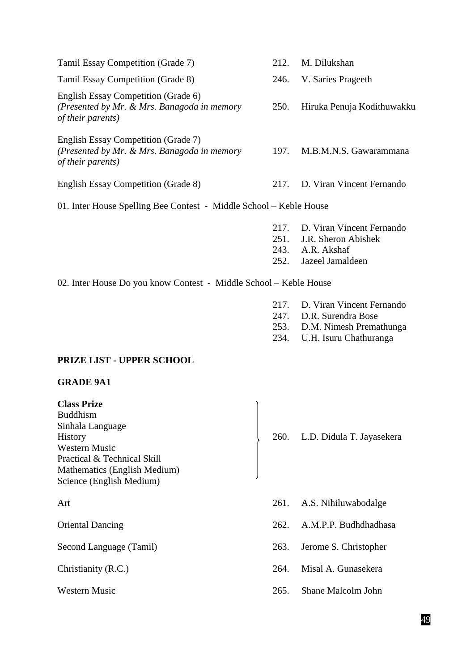| Tamil Essay Competition (Grade 7)                                                                       | 212.                         | M. Dilukshan                                                                        |
|---------------------------------------------------------------------------------------------------------|------------------------------|-------------------------------------------------------------------------------------|
| Tamil Essay Competition (Grade 8)                                                                       | 246.                         | V. Saries Prageeth                                                                  |
| English Essay Competition (Grade 6)<br>(Presented by Mr. & Mrs. Banagoda in memory<br>of their parents) | <b>250.</b>                  | Hiruka Penuja Kodithuwakku                                                          |
| English Essay Competition (Grade 7)<br>(Presented by Mr. & Mrs. Banagoda in memory<br>of their parents) | 197.                         | M.B.M.N.S. Gawarammana                                                              |
| English Essay Competition (Grade 8)                                                                     | 217.                         | D. Viran Vincent Fernando                                                           |
| 01. Inter House Spelling Bee Contest - Middle School – Keble House                                      |                              |                                                                                     |
|                                                                                                         | 217.<br>251.<br>243.<br>252. | D. Viran Vincent Fernando<br>J.R. Sheron Abishek<br>A.R. Akshaf<br>Jazeel Jamaldeen |

02. Inter House Do you know Contest - Middle School – Keble House

- 217. D. Viran Vincent Fernando<br>247. D.R. Surendra Bose
- D.R. Surendra Bose
- 253. D.M. Nimesh Premathunga
- 234. U.H. Isuru Chathuranga

# **PRIZE LIST - UPPER SCHOOL**

# **GRADE 9A1**

| <b>Class Prize</b><br><b>Buddhism</b><br>Sinhala Language<br><b>History</b><br><b>Western Music</b><br>Practical & Technical Skill<br>Mathematics (English Medium)<br>Science (English Medium) |      | 260. L.D. Didula T. Jayasekera |
|------------------------------------------------------------------------------------------------------------------------------------------------------------------------------------------------|------|--------------------------------|
| Art                                                                                                                                                                                            | 261. | A.S. Nihiluwabodalge           |
| <b>Oriental Dancing</b>                                                                                                                                                                        | 262. | A.M.P.P. Budhdhadhasa          |
| Second Language (Tamil)                                                                                                                                                                        | 263. | Jerome S. Christopher          |
| Christianity (R.C.)                                                                                                                                                                            | 264. | Misal A. Gunasekera            |

- 
- Western Music 265. Shane Malcolm John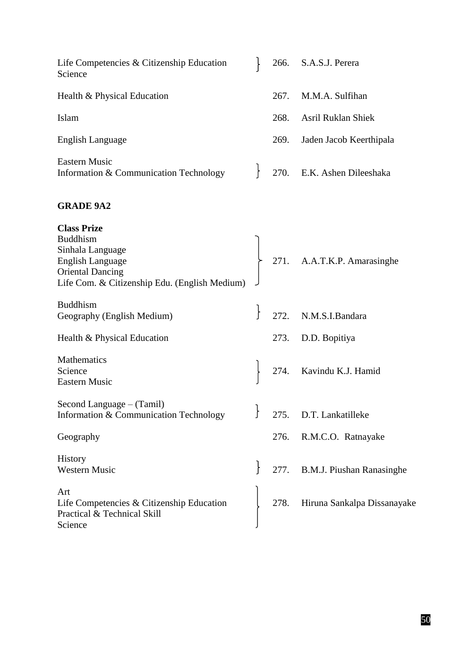| Life Competencies & Citizenship Education<br>Science                                               |      | 266. S.A.S.J. Perera        |
|----------------------------------------------------------------------------------------------------|------|-----------------------------|
| Health & Physical Education                                                                        | 267. | M.M.A. Sulfihan             |
| Islam                                                                                              | 268. | <b>Asril Ruklan Shiek</b>   |
| English Language                                                                                   | 269. | Jaden Jacob Keerthipala     |
| <b>Eastern Music</b><br>Information & Communication Technology $\Big\}$ 270. E.K. Ashen Dileeshaka |      |                             |
| <b>GRADE 9A2</b>                                                                                   |      |                             |
| <b>Class Prize</b>                                                                                 |      |                             |
| <b>Buddhism</b>                                                                                    |      |                             |
| Sinhala Language                                                                                   |      |                             |
| English Language                                                                                   |      | 271. A.A.T.K.P. Amarasinghe |
| <b>Oriental Dancing</b>                                                                            |      |                             |
| Life Com & Citizenship Edu (English Medium)                                                        |      |                             |

| <b>Class Prize</b>                            |      |                                  |
|-----------------------------------------------|------|----------------------------------|
| <b>Buddhism</b>                               |      |                                  |
| Sinhala Language                              |      |                                  |
| <b>English Language</b>                       |      | 271. A.A.T.K.P. Amarasinghe      |
| <b>Oriental Dancing</b>                       |      |                                  |
| Life Com. & Citizenship Edu. (English Medium) |      |                                  |
| <b>Buddhism</b>                               |      |                                  |
| Geography (English Medium)                    |      | 272. N.M.S.I.Bandara             |
| Health & Physical Education                   | 273. | D.D. Bopitiya                    |
| Mathematics                                   |      |                                  |
| Science                                       |      | 274. Kavindu K.J. Hamid          |
| <b>Eastern Music</b>                          |      |                                  |
| Second Language – (Tamil)                     |      |                                  |
| Information & Communication Technology        |      | 275. D.T. Lankatilleke           |
|                                               |      |                                  |
| Geography                                     | 276. | R.M.C.O. Ratnayake               |
| <b>History</b>                                |      |                                  |
| <b>Western Music</b>                          | 277. | <b>B.M.J. Piushan Ranasinghe</b> |
| Art                                           |      |                                  |
| Life Competencies & Citizenship Education     | 278. | Hiruna Sankalpa Dissanayake      |
| Practical & Technical Skill                   |      |                                  |
| Science                                       |      |                                  |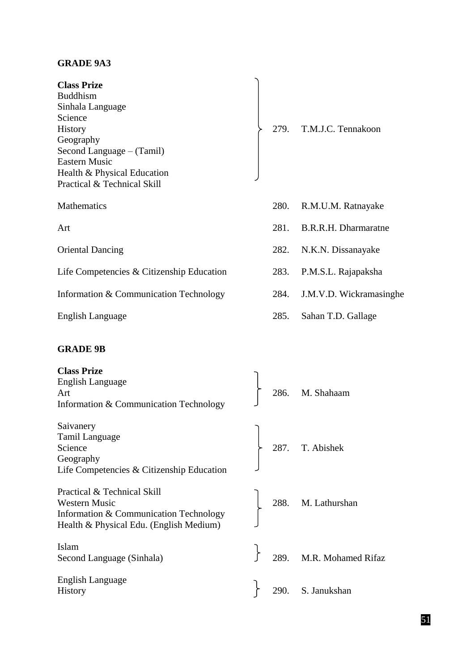# **GRADE 9A3**

| <b>Class Prize</b><br><b>Buddhism</b><br>Sinhala Language<br>Science<br><b>History</b><br>Geography<br>Second Language – (Tamil)<br><b>Eastern Music</b><br>Health & Physical Education<br>Practical & Technical Skill |      | 279. T.M.J.C. Tennakoon |
|------------------------------------------------------------------------------------------------------------------------------------------------------------------------------------------------------------------------|------|-------------------------|
| <b>Mathematics</b>                                                                                                                                                                                                     | 280. | R.M.U.M. Ratnayake      |
| Art                                                                                                                                                                                                                    | 281. | B.R.R.H. Dharmaratne    |
| <b>Oriental Dancing</b>                                                                                                                                                                                                | 282. | N.K.N. Dissanayake      |
| Life Competencies & Citizenship Education                                                                                                                                                                              | 283. | P.M.S.L. Rajapaksha     |
| Information & Communication Technology                                                                                                                                                                                 | 284. | J.M.V.D. Wickramasinghe |
| English Language                                                                                                                                                                                                       | 285. | Sahan T.D. Gallage      |
|                                                                                                                                                                                                                        |      |                         |

# **GRADE 9B**

| <b>Class Prize</b><br><b>English Language</b><br>Art<br>Information & Communication Technology                                           |  | $\begin{bmatrix} 286. \quad M. \quad \text{Shahaam} \end{bmatrix}$                                |
|------------------------------------------------------------------------------------------------------------------------------------------|--|---------------------------------------------------------------------------------------------------|
| Saivanery<br>Tamil Language<br>Science<br>Geography<br>Life Competencies & Citizenship Education                                         |  | 287. T. Abishek                                                                                   |
| Practical & Technical Skill<br><b>Western Music</b><br>Information & Communication Technology<br>Health & Physical Edu. (English Medium) |  | 288. M. Lathurshan                                                                                |
| Islam<br>Second Language (Sinhala)                                                                                                       |  | $\begin{array}{cc} \downarrow & \\ \downarrow & 289. \quad \text{M.R. Mohamed Rifaz} \end{array}$ |
| <b>English Language</b><br>History                                                                                                       |  | 290. S. Janukshan                                                                                 |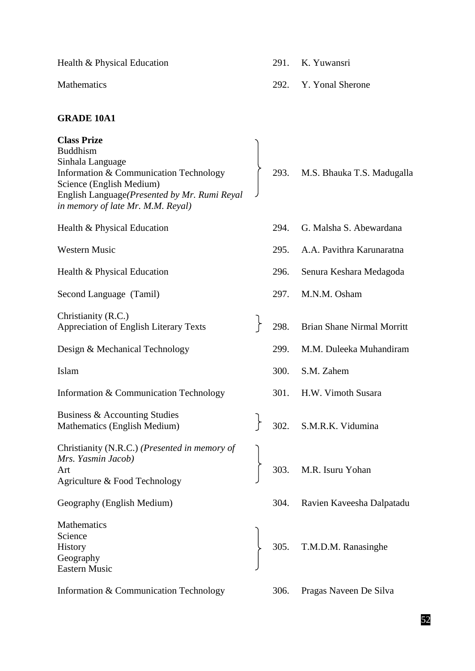Health & Physical Education 291. K. Yuwansri

Mathematics 292. Y. Yonal Sherone

## **GRADE 10A1**

**Class Prize** Buddhism Sinhala Language Information & Communication Technology (293. M.S. Bhauka T.S. Madugalla Science (English Medium) English Language*(Presented by Mr. Rumi Reyal in memory of late Mr. M.M. Reyal)* Health & Physical Education 294. G. Malsha S. Abewardana Western Music 295. A.A. Pavithra Karunaratna Health & Physical Education 296. Senura Keshara Medagoda Second Language (Tamil) 297. M.N.M. Osham Christianity (R.C.) Appreciation of English Literary Texts 298. Brian Shane Nirmal Morritt Design & Mechanical Technology 299. M.M. Duleeka Muhandiram Islam 300. S.M. Zahem Information & Communication Technology 301. H.W. Vimoth Susara Business & Accounting Studies Mathematics (English Medium) 5 302. S.M.R.K. Vidumina Christianity (N.R.C.) *(Presented in memory of Mrs. Yasmin Jacob)* Art 303. M.R. Isuru Yohan Agriculture & Food Technology Geography (English Medium) 304. Ravien Kaveesha Dalpatadu Mathematics Science History 305. T.M.D.M. Ranasinghe Geography Eastern Music

Information & Communication Technology 306. Pragas Naveen De Silva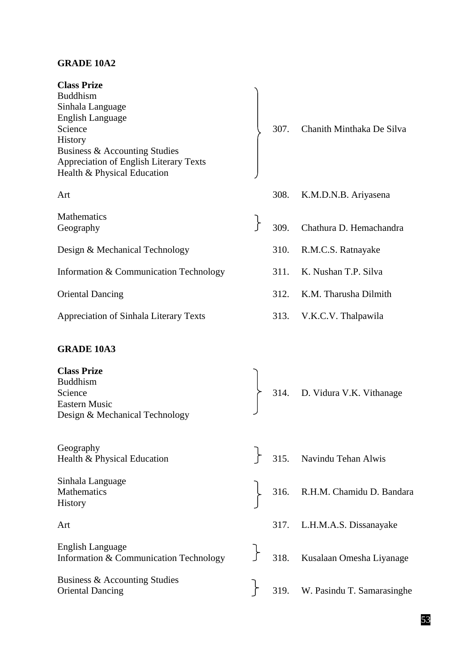## **GRADE 10A2**

| <b>Class Prize</b>                            |                |
|-----------------------------------------------|----------------|
| <b>Buddhism</b>                               |                |
| Sinhala Language                              |                |
| English Language                              |                |
| Science                                       | 30             |
| <b>History</b>                                |                |
| Business & Accounting Studies                 |                |
| <b>Appreciation of English Literary Texts</b> |                |
| Health & Physical Education                   |                |
|                                               |                |
| Art                                           | 30             |
|                                               |                |
| <b>Mathematics</b>                            |                |
| Geography                                     | 3 <sup>c</sup> |
|                                               |                |
| Design & Mechanical Technology                | 31             |
|                                               |                |
| Information & Communication Technology        | 31             |
|                                               |                |
| <b>Oriental Dancing</b>                       | 31             |
|                                               |                |
| Appreciation of Sinhala Literary Texts        | 31             |
|                                               |                |

## **GRADE 10A3**

| <b>Class Prize</b><br><b>Buddhism</b><br>Science<br><b>Eastern Music</b><br>Design & Mechanical Technology |  | 314. D. Vidura V.K. Vithanage                            |
|------------------------------------------------------------------------------------------------------------|--|----------------------------------------------------------|
| Geography<br>Health & Physical Education                                                                   |  | $\begin{bmatrix} 315. \end{bmatrix}$ Navindu Tehan Alwis |

Sinhala Language History

English Language English Language<br>Information & Communication Technology 5 318. Kusalaan Omesha Liyanage

Business & Accounting Studies Business & Accounting Studies<br>Oriental Dancing 319. W. Pasindu T. Samarasinghe

07. Chanith Minthaka De Silva

- 08. K.M.D.N.B. Ariyasena
- 09. Chathura D. Hemachandra
	- 10. R.M.C.S. Ratnayake
	- 1. K. Nushan T.P. Silva
	- $2.$  K.M. Tharusha Dilmith
	- 3. V.K.C.V. Thalpawila

- Mathematics  $\begin{array}{ccc} 316. & R.H.M. \text{Chamidu D. Bandara} \end{array}$
- Art 317. L.H.M.A.S. Dissanayake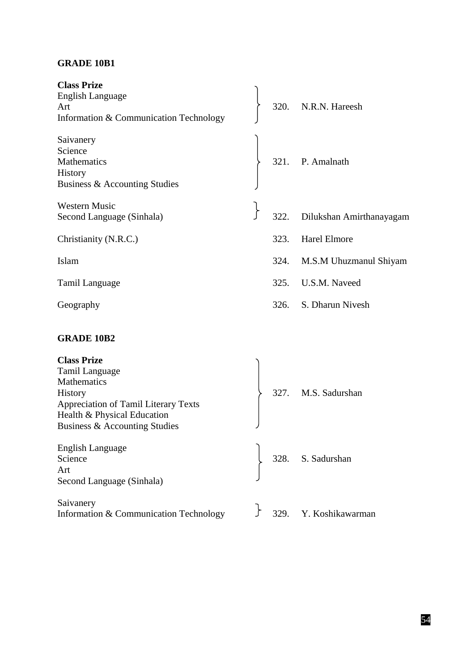# **GRADE 10B1**

| <b>Class Prize</b><br>English Language<br>Art<br>Information & Communication Technology                                                                                       |      | 320. N.R.N. Hareesh      |
|-------------------------------------------------------------------------------------------------------------------------------------------------------------------------------|------|--------------------------|
| Saivanery<br>Science<br><b>Mathematics</b><br>History<br>Business & Accounting Studies                                                                                        |      | 321. P. Amalnath         |
| <b>Western Music</b><br>Second Language (Sinhala)                                                                                                                             | 322. | Dilukshan Amirthanayagam |
| Christianity (N.R.C.)                                                                                                                                                         | 323. | <b>Harel Elmore</b>      |
| Islam                                                                                                                                                                         | 324. | M.S.M Uhuzmanul Shiyam   |
| Tamil Language                                                                                                                                                                | 325. | U.S.M. Naveed            |
| Geography                                                                                                                                                                     | 326. | S. Dharun Nivesh         |
| <b>GRADE 10B2</b>                                                                                                                                                             |      |                          |
| <b>Class Prize</b><br>Tamil Language<br>Mathematics<br><b>History</b><br>Appreciation of Tamil Literary Texts<br>Health & Physical Education<br>Business & Accounting Studies |      | 327. M.S. Sadurshan      |
| <b>English Language</b><br>Science<br>Art<br>Second Language (Sinhala)                                                                                                        |      | 328. S. Sadurshan        |
| Saivanery<br>Information & Communication Technology                                                                                                                           |      | 329. Y. Koshikawarman    |

54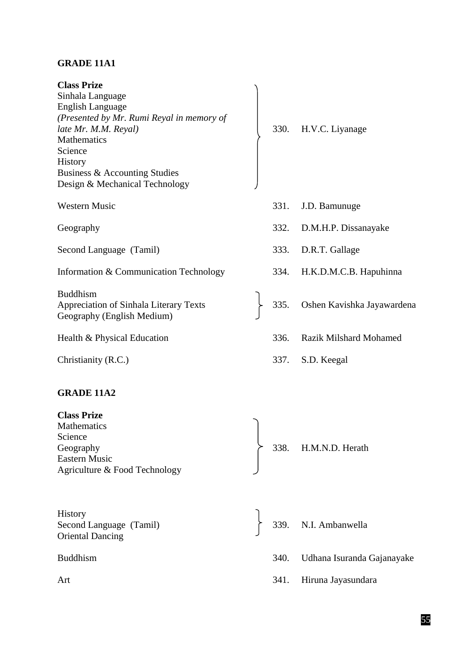# **GRADE 11A1**

| <b>Class Prize</b>                        |
|-------------------------------------------|
| Sinhala Language                          |
| English Language                          |
| (Presented by Mr. Rumi Reyal in memory of |
| late Mr. M.M. Reyal)                      |
| <b>Mathematics</b>                        |
| Science                                   |
| <b>History</b>                            |
| Business & Accounting Studies             |
| Design & Mechanical Technology            |
|                                           |

Second Language (Tamil) 333. D.R.T. Gallage

Information & Communication Technology 334. H.K.D.M.C.B. Hapuhinna

Buddhism Geography (English Medium)

# **GRADE 11A2**

**Class Prize** Mathematics Science Geography  $\rightarrow$  338. H.M.N.D. Herath Eastern Music Agriculture & Food Technology

**History** Oriental Dancing

- *late Mr. M.M. Reyal)* 330. H.V.C. Liyanage
- Western Music 331. J.D. Bamunuge
- Geography 332. D.M.H.P. Dissanayake
	-
	-
- Appreciation of Sinhala Literary Texts 335. Oshen Kavishka Jayawardena
- Health & Physical Education 336. Razik Milshard Mohamed
- Christianity (R.C.) 337. S.D. Keegal

Second Language (Tamil) 339. N.I. Ambanwella Buddhism 340. Udhana Isuranda Gajanayake Art 341. Hiruna Jayasundara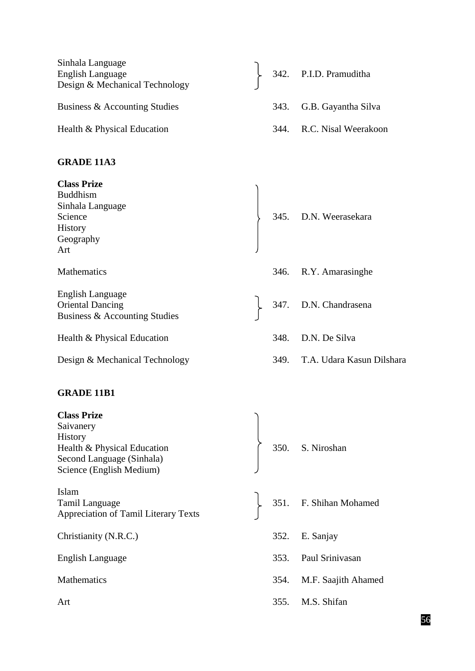| Sinhala Language<br>English Language<br>Design & Mechanical Technology |      | 342. P.I.D. Pramuditha |
|------------------------------------------------------------------------|------|------------------------|
| Business & Accounting Studies                                          | 343. | G.B. Gayantha Silva    |
| Health & Physical Education                                            | 344. | R.C. Nisal Weerakoon   |
| <b>GRADE 11A3</b>                                                      |      |                        |
| <b>Class Prize</b><br><b>Buddhism</b>                                  |      |                        |

Sinhala Language Science  $\begin{array}{c} \searrow \\ 345. \quad \text{D.N. Weerasekara} \end{array}$ History Geography Art Mathematics 346. R.Y. Amarasinghe English Language 347. D.N. Chandrasena Business & Accounting Studies Health & Physical Education 348. D.N. De Silva Design & Mechanical Technology 349. T.A. Udara Kasun Dilshara

# **GRADE 11B1**

| <b>Class Prize</b>                          |      |                        |
|---------------------------------------------|------|------------------------|
| Saivanery                                   |      |                        |
| History                                     |      |                        |
| Health & Physical Education                 |      | 350. S. Niroshan       |
| Second Language (Sinhala)                   |      |                        |
| Science (English Medium)                    |      |                        |
| Islam                                       |      |                        |
| Tamil Language                              |      | 351. F. Shihan Mohamed |
| <b>Appreciation of Tamil Literary Texts</b> |      |                        |
| Christianity (N.R.C.)                       |      | 352. E. Sanjay         |
|                                             |      |                        |
| English Language                            | 353. | Paul Srinivasan        |
| <b>Mathematics</b>                          | 354. | M.F. Saajith Ahamed    |
|                                             |      |                        |
| Art                                         | 355. | M.S. Shifan            |
|                                             |      |                        |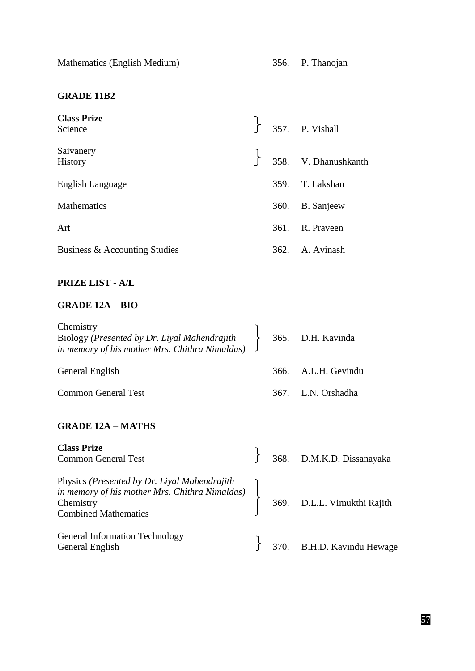Mathematics (English Medium) 356. P. Thanojan

# **GRADE 11B2**

| <b>Class Prize</b><br>Science |  | $\begin{bmatrix} 357. \quad P. \quad \text{Visual} \end{bmatrix}$ |
|-------------------------------|--|-------------------------------------------------------------------|
| Saivanery<br>History          |  | $\begin{bmatrix} 358. & V. \end{bmatrix}$ Dhanushkanth            |
| English Language              |  | 359. T. Lakshan                                                   |
| <b>Mathematics</b>            |  | 360. B. Sanjeew                                                   |
| Art                           |  | 361. R. Prayeen                                                   |
| Business & Accounting Studies |  | 362. A. Avinash                                                   |

# **PRIZE LIST - A/L**

# **GRADE 12A – BIO**

| Chemistry<br>Biology (Presented by Dr. Liyal Mahendrajith > 365. D.H. Kavinda<br>in memory of his mother Mrs. Chithra Nimaldas) $\Box$ |  |                     |
|----------------------------------------------------------------------------------------------------------------------------------------|--|---------------------|
| General English                                                                                                                        |  | 366. A.L.H. Gevindu |
| <b>Common General Test</b>                                                                                                             |  | 367. L.N. Orshadha  |

#### **GRADE 12A – MATHS**

| <b>Class Prize</b><br><b>Common General Test</b>                                                                                                                     |  | $\}$ 368. D.M.K.D. Dissanayaka  |
|----------------------------------------------------------------------------------------------------------------------------------------------------------------------|--|---------------------------------|
| Physics ( <i>Presented by Dr. Liyal Mahendrajith</i><br>in memory of his mother Mrs. Chithra Nimaldas)<br>369. D.L.L. Vimukthi Rajith<br><b>Combined Mathematics</b> |  |                                 |
| <b>General Information Technology</b><br>General English                                                                                                             |  | $\}$ 370. B.H.D. Kavindu Hewage |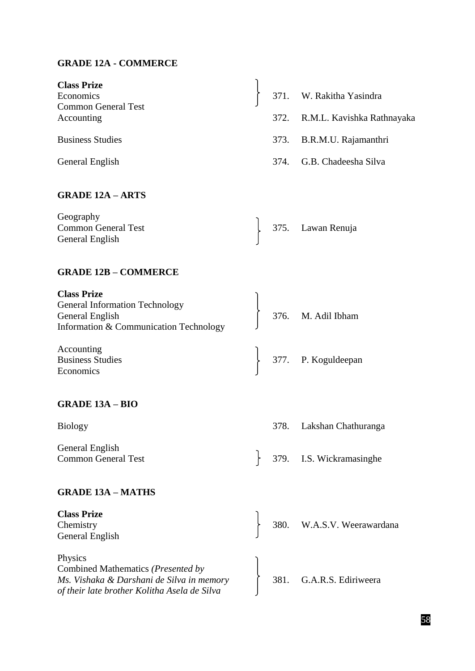# **GRADE 12A - COMMERCE**

| <b>Class Prize</b><br>Economics<br><b>Common General Test</b><br>Accounting                                                                |  | 371. W. Rakitha Yasindra<br>372. R.M.L. Kavishka Rathnayaka |
|--------------------------------------------------------------------------------------------------------------------------------------------|--|-------------------------------------------------------------|
| <b>Business Studies</b><br>General English                                                                                                 |  | 373. B.R.M.U. Rajamanthri<br>374. G.B. Chadeesha Silva      |
| <b>GRADE 12A - ARTS</b>                                                                                                                    |  |                                                             |
| Geography<br><b>Common General Test</b><br>General English                                                                                 |  | 375. Lawan Renuja                                           |
| <b>GRADE 12B - COMMERCE</b>                                                                                                                |  |                                                             |
| <b>Class Prize</b><br><b>General Information Technology</b><br>General English<br>Information & Communication Technology                   |  | 376. M. Adil Ibham                                          |
| Accounting<br><b>Business Studies</b><br>Economics                                                                                         |  | 377. P. Koguldeepan                                         |
| <b>GRADE 13A - BIO</b>                                                                                                                     |  |                                                             |
| <b>Biology</b>                                                                                                                             |  | 378. Lakshan Chathuranga                                    |
| General English<br><b>Common General Test</b>                                                                                              |  | 379. I.S. Wickramasinghe                                    |
| <b>GRADE 13A - MATHS</b>                                                                                                                   |  |                                                             |
| <b>Class Prize</b><br>Chemistry<br>General English                                                                                         |  | 380. W.A.S.V. Weerawardana                                  |
| Physics<br>Combined Mathematics (Presented by<br>Ms. Vishaka & Darshani de Silva in memory<br>of their late brother Kolitha Asela de Silva |  | 381. G.A.R.S. Ediriweera                                    |

58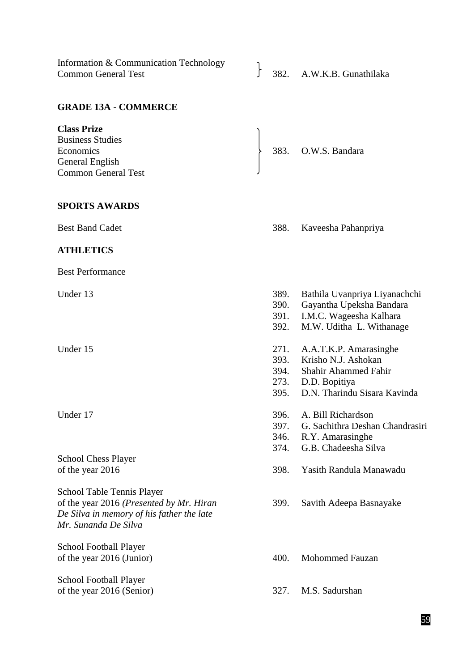Information & Communication Technology<br>
Common General Test 582. A.W.K.B. Gunathilaka **GRADE 13A - COMMERCE Class Prize** Business Studies Economics  $\qquad \qquad$  383. O.W.S. Bandara General English Common General Test **SPORTS AWARDS** Best Band Cadet 388. Kaveesha Pahanpriya **ATHLETICS** Best Performance Under 13 389. Bathila Uvanpriya Liyanachchi 390. Gayantha Upeksha Bandara 391. I.M.C. Wageesha Kalhara M.W. Uditha L. Withanage Under 15 271. A.A.T.K.P. Amarasinghe 393. Krisho N.J. Ashokan 394. Shahir Ahammed Fahir 273. D.D. Bopitiya 395. D.N. Tharindu Sisara Kavinda Under 17 396. A. Bill Richardson 397. G. Sachithra Deshan Chandrasiri 346. R.Y. Amarasinghe 374. G.B. Chadeesha Silva School Chess Player of the year 2016 398. Yasith Randula Manawadu School Table Tennis Player of the year 2016 *(Presented by Mr. Hiran* 399. Savith Adeepa Basnayake *De Silva in memory of his father the late Mr. Sunanda De Silva* School Football Player of the year 2016 (Junior) 400. Mohommed Fauzan School Football Player of the year 2016 (Senior) 327. M.S. Sadurshan

Information & Communication Technology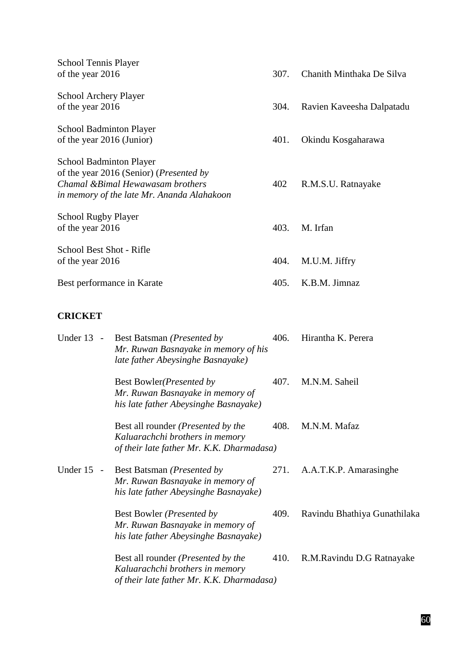| School Tennis Player                            |      |                           |
|-------------------------------------------------|------|---------------------------|
| of the year 2016                                | 307. | Chanith Minthaka De Silva |
| <b>School Archery Player</b>                    |      |                           |
| of the year 2016                                | 304. | Ravien Kaveesha Dalpatadu |
| School Badminton Player                         |      |                           |
| of the year 2016 (Junior)                       | 401. | Okindu Kosgaharawa        |
| <b>School Badminton Player</b>                  |      |                           |
| of the year 2016 (Senior) ( <i>Presented by</i> |      |                           |
| Chamal & Bimal Hewawasam brothers               | 402  | R.M.S.U. Ratnayake        |
| in memory of the late Mr. Ananda Alahakoon      |      |                           |
| <b>School Rugby Player</b>                      |      |                           |
| of the year 2016                                | 403. | M. Irfan                  |
| School Best Shot - Rifle                        |      |                           |
| of the year 2016                                | 404. | M.U.M. Jiffry             |
| Best performance in Karate                      | 405. | K.B.M. Jimnaz             |
|                                                 |      |                           |

# **CRICKET**

| Under 13<br>$\overline{\phantom{a}}$ | Best Batsman (Presented by<br>Mr. Ruwan Basnayake in memory of his<br>late father Abeysinghe Basnayake)                    | 406. | Hirantha K. Perera           |
|--------------------------------------|----------------------------------------------------------------------------------------------------------------------------|------|------------------------------|
|                                      | Best Bowler ( <i>Presented by</i><br>Mr. Ruwan Basnayake in memory of<br>his late father Abeysinghe Basnayake)             | 407. | M.N.M. Saheil                |
|                                      | Best all rounder ( <i>Presented by the</i><br>Kaluarachchi brothers in memory<br>of their late father Mr. K.K. Dharmadasa) | 408. | M.N.M. Mafaz                 |
| Under 15<br>$\overline{\phantom{a}}$ | Best Batsman ( <i>Presented by</i><br>Mr. Ruwan Basnayake in memory of<br>his late father Abeysinghe Basnayake)            |      | 271. A.A.T.K.P. Amarasinghe  |
|                                      | Best Bowler ( <i>Presented by</i><br>Mr. Ruwan Basnayake in memory of<br>his late father Abeysinghe Basnayake)             | 409. | Ravindu Bhathiya Gunathilaka |
|                                      | Best all rounder ( <i>Presented by the</i><br>Kaluarachchi brothers in memory<br>of their late father Mr. K.K. Dharmadasa) | 410. | R.M.Ravindu D.G Ratnayake    |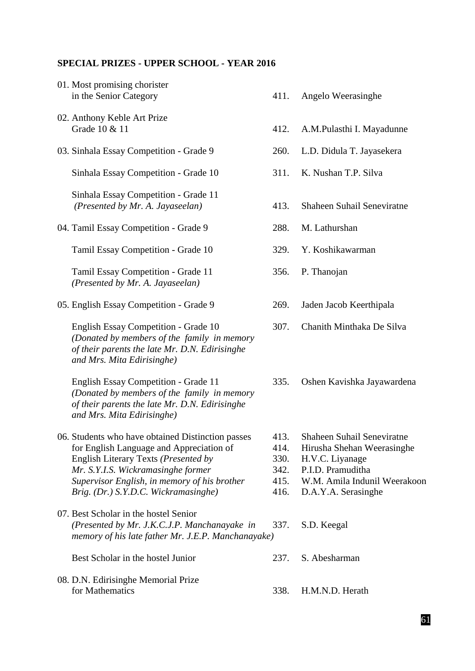# **SPECIAL PRIZES - UPPER SCHOOL - YEAR 2016**

| 01. Most promising chorister<br>in the Senior Category                                                                                                                                                                                                              | 411.                                 | Angelo Weerasinghe                                                                                                                                           |
|---------------------------------------------------------------------------------------------------------------------------------------------------------------------------------------------------------------------------------------------------------------------|--------------------------------------|--------------------------------------------------------------------------------------------------------------------------------------------------------------|
| 02. Anthony Keble Art Prize<br>Grade 10 & 11                                                                                                                                                                                                                        | 412.                                 | A.M.Pulasthi I. Mayadunne                                                                                                                                    |
| 03. Sinhala Essay Competition - Grade 9                                                                                                                                                                                                                             | 260.                                 | L.D. Didula T. Jayasekera                                                                                                                                    |
| Sinhala Essay Competition - Grade 10                                                                                                                                                                                                                                | 311.                                 | K. Nushan T.P. Silva                                                                                                                                         |
| Sinhala Essay Competition - Grade 11<br>(Presented by Mr. A. Jayaseelan)                                                                                                                                                                                            | 413.                                 | Shaheen Suhail Seneviratne                                                                                                                                   |
| 04. Tamil Essay Competition - Grade 9                                                                                                                                                                                                                               | 288.                                 | M. Lathurshan                                                                                                                                                |
| Tamil Essay Competition - Grade 10                                                                                                                                                                                                                                  | 329.                                 | Y. Koshikawarman                                                                                                                                             |
| Tamil Essay Competition - Grade 11<br>(Presented by Mr. A. Jayaseelan)                                                                                                                                                                                              | 356.                                 | P. Thanojan                                                                                                                                                  |
| 05. English Essay Competition - Grade 9                                                                                                                                                                                                                             | 269.                                 | Jaden Jacob Keerthipala                                                                                                                                      |
| English Essay Competition - Grade 10<br>(Donated by members of the family in memory<br>of their parents the late Mr. D.N. Edirisinghe<br>and Mrs. Mita Edirisinghe)                                                                                                 | 307.                                 | Chanith Minthaka De Silva                                                                                                                                    |
| English Essay Competition - Grade 11<br>(Donated by members of the family in memory<br>of their parents the late Mr. D.N. Edirisinghe<br>and Mrs. Mita Edirisinghe)                                                                                                 | 335.                                 | Oshen Kavishka Jayawardena                                                                                                                                   |
| 06. Students who have obtained Distinction passes<br>for English Language and Appreciation of<br>English Literary Texts (Presented by<br>Mr. S.Y.I.S. Wickramasinghe former<br>Supervisor English, in memory of his brother<br>Brig. (Dr.) S.Y.D.C. Wickramasinghe) | 414.<br>330.<br>342.<br>415.<br>416. | 413. Shaheen Suhail Seneviratne<br>Hirusha Shehan Weerasinghe<br>H.V.C. Liyanage<br>P.I.D. Pramuditha<br>W.M. Amila Indunil Weerakoon<br>D.A.Y.A. Serasinghe |
| 07. Best Scholar in the hostel Senior<br>(Presented by Mr. J.K.C.J.P. Manchanayake in<br>memory of his late father Mr. J.E.P. Manchanayake)                                                                                                                         | 337.                                 | S.D. Keegal                                                                                                                                                  |
| Best Scholar in the hostel Junior                                                                                                                                                                                                                                   | 237.                                 | S. Abesharman                                                                                                                                                |
| 08. D.N. Edirisinghe Memorial Prize<br>for Mathematics                                                                                                                                                                                                              | 338.                                 | H.M.N.D. Herath                                                                                                                                              |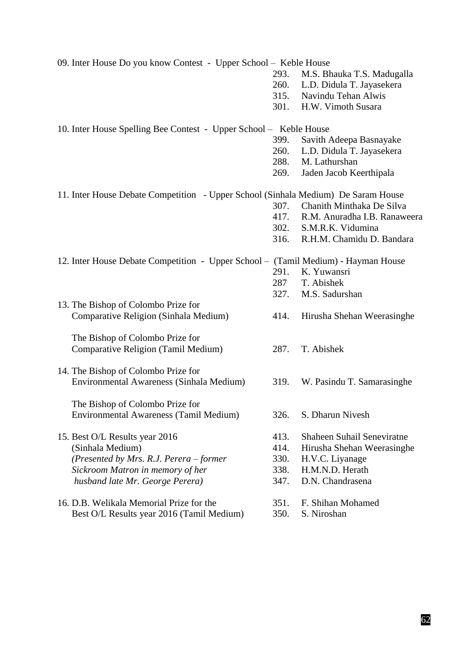09. Inter House Do you know Contest - Upper School – Keble House 293. M.S. Bhauka T.S. Madugalla 260. L.D. Didula T. Jayasekera 315. Navindu Tehan Alwis 301. H.W. Vimoth Susara 10. Inter House Spelling Bee Contest - Upper School – Keble House 399. Savith Adeepa Basnayake 260. L.D. Didula T. Jayasekera 288. M. Lathurshan 269. Jaden Jacob Keerthipala 11. Inter House Debate Competition - Upper School (Sinhala Medium) De Saram House 307. Chanith Minthaka De Silva 417. R.M. Anuradha I.B. Ranaweera 302. S.M.R.K. Vidumina 316. R.H.M. Chamidu D. Bandara 12. Inter House Debate Competition - Upper School – (Tamil Medium) - Hayman House 291. K. Yuwansri 287 T. Abishek 327. M.S. Sadurshan 13. The Bishop of Colombo Prize for Comparative Religion (Sinhala Medium) 414. Hirusha Shehan Weerasinghe The Bishop of Colombo Prize for Comparative Religion (Tamil Medium) 287. T. Abishek 14. The Bishop of Colombo Prize for Environmental Awareness (Sinhala Medium) 319. W. Pasindu T. Samarasinghe The Bishop of Colombo Prize for Environmental Awareness (Tamil Medium) 326. S. Dharun Nivesh 15. Best O/L Results year 2016 413. Shaheen Suhail Seneviratne (Sinhala Medium) 414. Hirusha Shehan Weerasinghe *(Presented by Mrs. R.J. Perera – former* 330. H.V.C. Liyanage *Sickroom Matron in memory of her* 338. H.M.N.D. Herath *husband late Mr. George Perera)* 347. D.N. Chandrasena 16. D.B. Welikala Memorial Prize for the 351. F. Shihan Mohamed Best O/L Results year 2016 (Tamil Medium) 350. S. Niroshan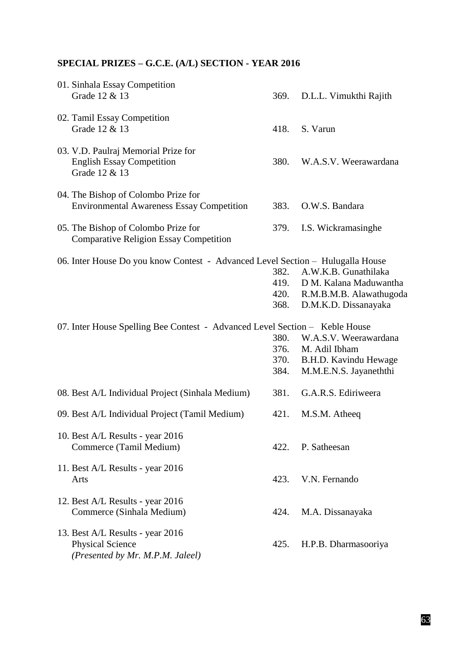# **SPECIAL PRIZES – G.C.E. (A/L) SECTION - YEAR 2016**

| 01. Sinhala Essay Competition<br>Grade 12 & 13                                                  | 369.                         | D.L.L. Vimukthi Rajith                                                                            |
|-------------------------------------------------------------------------------------------------|------------------------------|---------------------------------------------------------------------------------------------------|
| 02. Tamil Essay Competition<br>Grade 12 & 13                                                    | 418.                         | S. Varun                                                                                          |
| 03. V.D. Paulraj Memorial Prize for<br><b>English Essay Competition</b><br>Grade 12 & 13        | 380.                         | W.A.S.V. Weerawardana                                                                             |
| 04. The Bishop of Colombo Prize for<br><b>Environmental Awareness Essay Competition</b>         | 383.                         | O.W.S. Bandara                                                                                    |
| 05. The Bishop of Colombo Prize for<br><b>Comparative Religion Essay Competition</b>            | 379.                         | I.S. Wickramasinghe                                                                               |
| 06. Inter House Do you know Contest - Advanced Level Section - Hulugalla House                  | 382.<br>419.<br>420.<br>368. | A.W.K.B. Gunathilaka<br>D M. Kalana Maduwantha<br>R.M.B.M.B. Alawathugoda<br>D.M.K.D. Dissanayaka |
| 07. Inter House Spelling Bee Contest - Advanced Level Section - Keble House                     | 380.<br>376.<br>370.<br>384. | W.A.S.V. Weerawardana<br>M. Adil Ibham<br>B.H.D. Kavindu Hewage<br>M.M.E.N.S. Jayaneththi         |
| 08. Best A/L Individual Project (Sinhala Medium)                                                | 381.                         | G.A.R.S. Ediriweera                                                                               |
| 09. Best A/L Individual Project (Tamil Medium)                                                  | 421.                         | M.S.M. Atheeq                                                                                     |
| 10. Best A/L Results - year 2016<br>Commerce (Tamil Medium)                                     | 422.                         | P. Satheesan                                                                                      |
| 11. Best A/L Results - year 2016<br>Arts                                                        | 423.                         | V.N. Fernando                                                                                     |
| 12. Best A/L Results - year 2016<br>Commerce (Sinhala Medium)                                   | 424.                         | M.A. Dissanayaka                                                                                  |
| 13. Best A/L Results - year 2016<br><b>Physical Science</b><br>(Presented by Mr. M.P.M. Jaleel) | 425.                         | H.P.B. Dharmasooriya                                                                              |